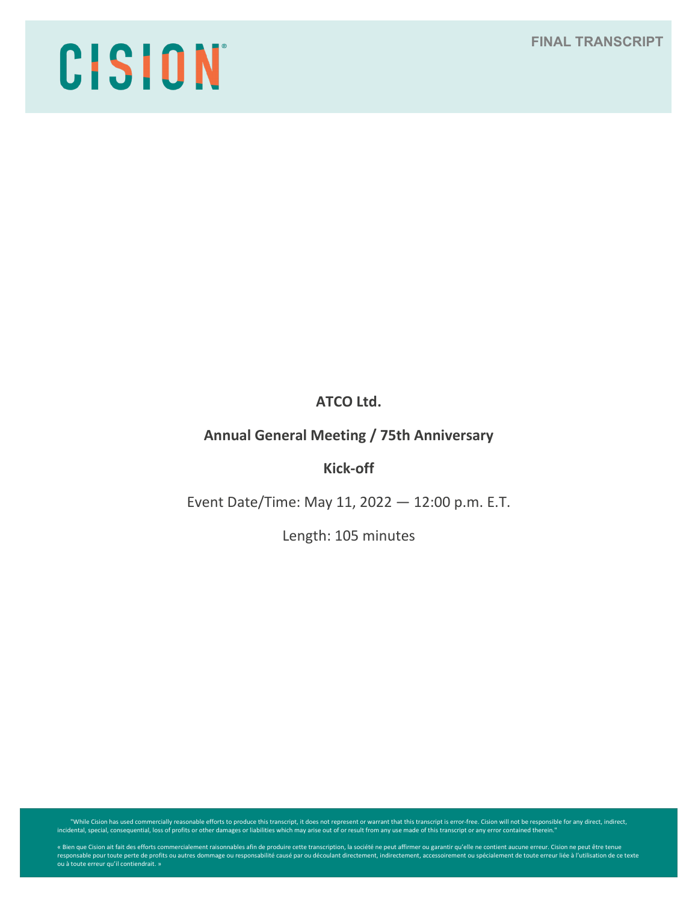# CISION

# **ATCO Ltd.**

## **Annual General Meeting / 75th Anniversary**

## **Kick-off**

Event Date/Time: May 11, 2022 — 12:00 p.m. E.T.

Length: 105 minutes

"While Cision has used commercially reasonable efforts to produce this transcript, it does not represent or warrant that this transcript is error-free. Cision will not be responsible for any direct, indirect, indirect, ind

« Bien que Cision ait fait des efforts commercialement raisonnables afin de produire cette transcription, la société ne peut affirmer ou garantir qu'elle ne contient aucune erreur. Cision ne peut être tenue<br>responsable pou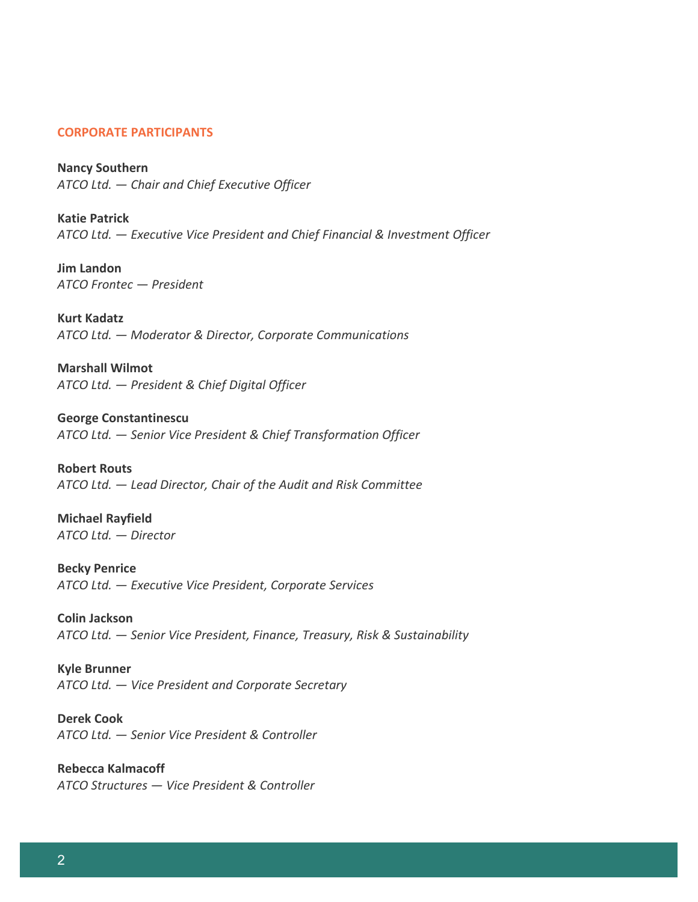## **CORPORATE PARTICIPANTS**

**Nancy Southern** *ATCO Ltd. — Chair and Chief Executive Officer*

**Katie Patrick** *ATCO Ltd. — Executive Vice President and Chief Financial & Investment Officer*

**Jim Landon** *ATCO Frontec — President*

**Kurt Kadatz** *ATCO Ltd. — Moderator & Director, Corporate Communications*

**Marshall Wilmot**  *ATCO Ltd. — President & Chief Digital Officer*

**George Constantinescu** *ATCO Ltd. — Senior Vice President & Chief Transformation Officer*

**Robert Routs** *ATCO Ltd. — Lead Director, Chair of the Audit and Risk Committee*

**Michael Rayfield** *ATCO Ltd. — Director*

**Becky Penrice** *ATCO Ltd. — Executive Vice President, Corporate Services*

**Colin Jackson**  *ATCO Ltd. — Senior Vice President, Finance, Treasury, Risk & Sustainability*

**Kyle Brunner** *ATCO Ltd. — Vice President and Corporate Secretary*

**Derek Cook** *ATCO Ltd. — Senior Vice President & Controller*

**Rebecca Kalmacoff** *ATCO Structures — Vice President & Controller*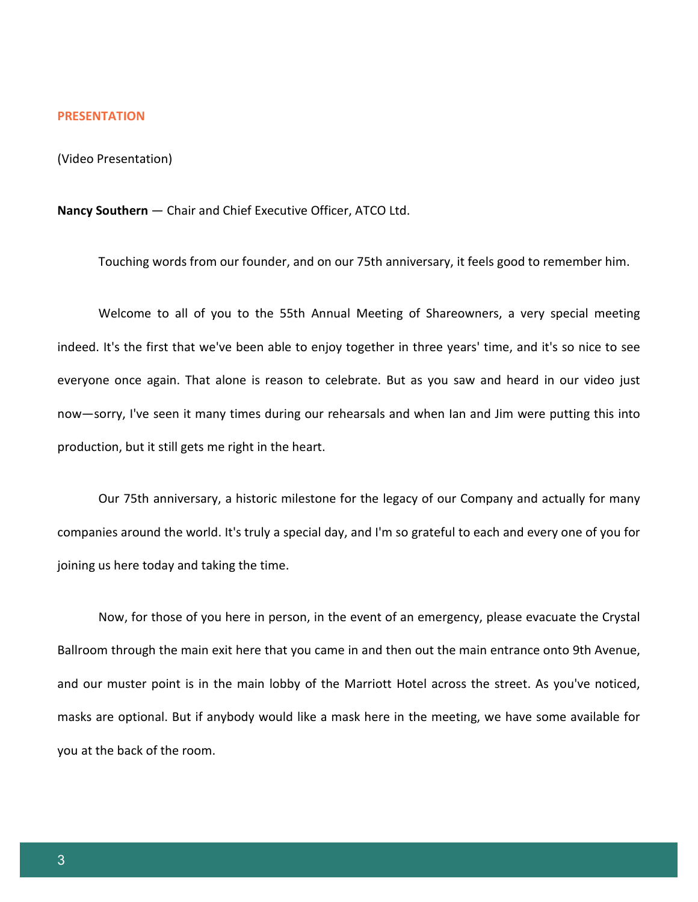#### **PRESENTATION**

(Video Presentation)

**Nancy Southern** — Chair and Chief Executive Officer, ATCO Ltd.

Touching words from our founder, and on our 75th anniversary, it feels good to remember him.

Welcome to all of you to the 55th Annual Meeting of Shareowners, a very special meeting indeed. It's the first that we've been able to enjoy together in three years' time, and it's so nice to see everyone once again. That alone is reason to celebrate. But as you saw and heard in our video just now—sorry, I've seen it many times during our rehearsals and when Ian and Jim were putting this into production, but it still gets me right in the heart.

Our 75th anniversary, a historic milestone for the legacy of our Company and actually for many companies around the world. It's truly a special day, and I'm so grateful to each and every one of you for joining us here today and taking the time.

Now, for those of you here in person, in the event of an emergency, please evacuate the Crystal Ballroom through the main exit here that you came in and then out the main entrance onto 9th Avenue, and our muster point is in the main lobby of the Marriott Hotel across the street. As you've noticed, masks are optional. But if anybody would like a mask here in the meeting, we have some available for you at the back of the room.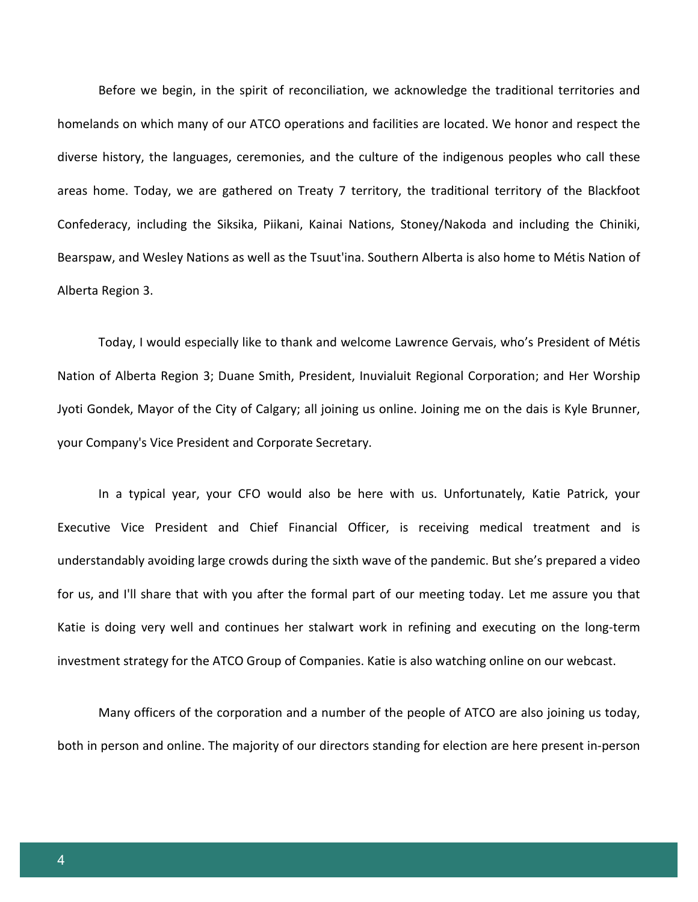Before we begin, in the spirit of reconciliation, we acknowledge the traditional territories and homelands on which many of our ATCO operations and facilities are located. We honor and respect the diverse history, the languages, ceremonies, and the culture of the indigenous peoples who call these areas home. Today, we are gathered on Treaty 7 territory, the traditional territory of the Blackfoot Confederacy, including the Siksika, Piikani, Kainai Nations, Stoney/Nakoda and including the Chiniki, Bearspaw, and Wesley Nations as well as the Tsuut'ina. Southern Alberta is also home to Métis Nation of Alberta Region 3.

Today, I would especially like to thank and welcome Lawrence Gervais, who's President of Métis Nation of Alberta Region 3; Duane Smith, President, Inuvialuit Regional Corporation; and Her Worship Jyoti Gondek, Mayor of the City of Calgary; all joining us online. Joining me on the dais is Kyle Brunner, your Company's Vice President and Corporate Secretary.

In a typical year, your CFO would also be here with us. Unfortunately, Katie Patrick, your Executive Vice President and Chief Financial Officer, is receiving medical treatment and is understandably avoiding large crowds during the sixth wave of the pandemic. But she's prepared a video for us, and I'll share that with you after the formal part of our meeting today. Let me assure you that Katie is doing very well and continues her stalwart work in refining and executing on the long-term investment strategy for the ATCO Group of Companies. Katie is also watching online on our webcast.

Many officers of the corporation and a number of the people of ATCO are also joining us today, both in person and online. The majority of our directors standing for election are here present in-person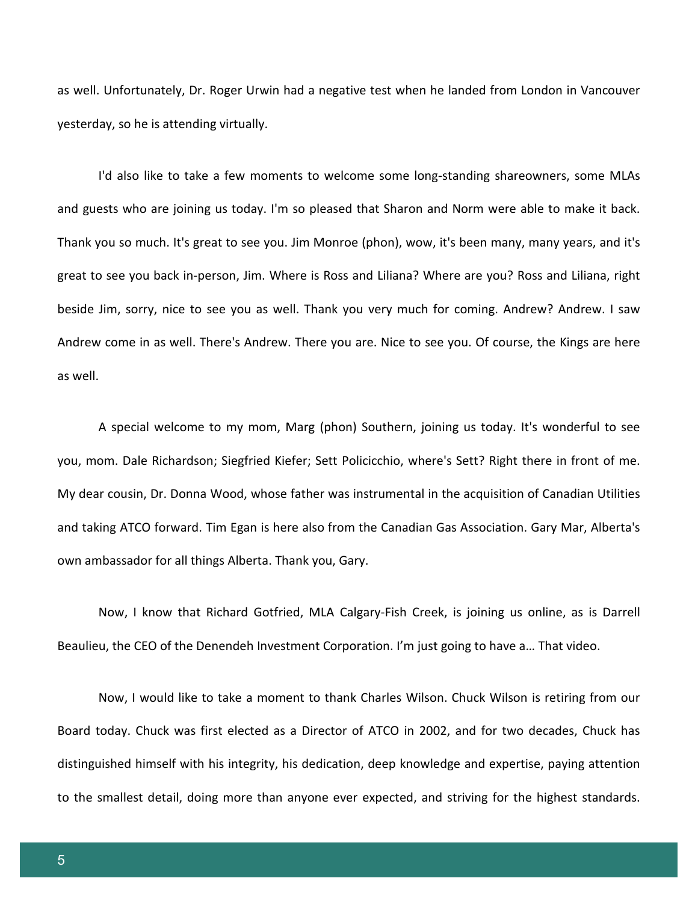as well. Unfortunately, Dr. Roger Urwin had a negative test when he landed from London in Vancouver yesterday, so he is attending virtually.

I'd also like to take a few moments to welcome some long-standing shareowners, some MLAs and guests who are joining us today. I'm so pleased that Sharon and Norm were able to make it back. Thank you so much. It's great to see you. Jim Monroe (phon), wow, it's been many, many years, and it's great to see you back in-person, Jim. Where is Ross and Liliana? Where are you? Ross and Liliana, right beside Jim, sorry, nice to see you as well. Thank you very much for coming. Andrew? Andrew. I saw Andrew come in as well. There's Andrew. There you are. Nice to see you. Of course, the Kings are here as well.

A special welcome to my mom, Marg (phon) Southern, joining us today. It's wonderful to see you, mom. Dale Richardson; Siegfried Kiefer; Sett Policicchio, where's Sett? Right there in front of me. My dear cousin, Dr. Donna Wood, whose father was instrumental in the acquisition of Canadian Utilities and taking ATCO forward. Tim Egan is here also from the Canadian Gas Association. Gary Mar, Alberta's own ambassador for all things Alberta. Thank you, Gary.

Now, I know that Richard Gotfried, MLA Calgary-Fish Creek, is joining us online, as is Darrell Beaulieu, the CEO of the Denendeh Investment Corporation. I'm just going to have a… That video.

Now, I would like to take a moment to thank Charles Wilson. Chuck Wilson is retiring from our Board today. Chuck was first elected as a Director of ATCO in 2002, and for two decades, Chuck has distinguished himself with his integrity, his dedication, deep knowledge and expertise, paying attention to the smallest detail, doing more than anyone ever expected, and striving for the highest standards.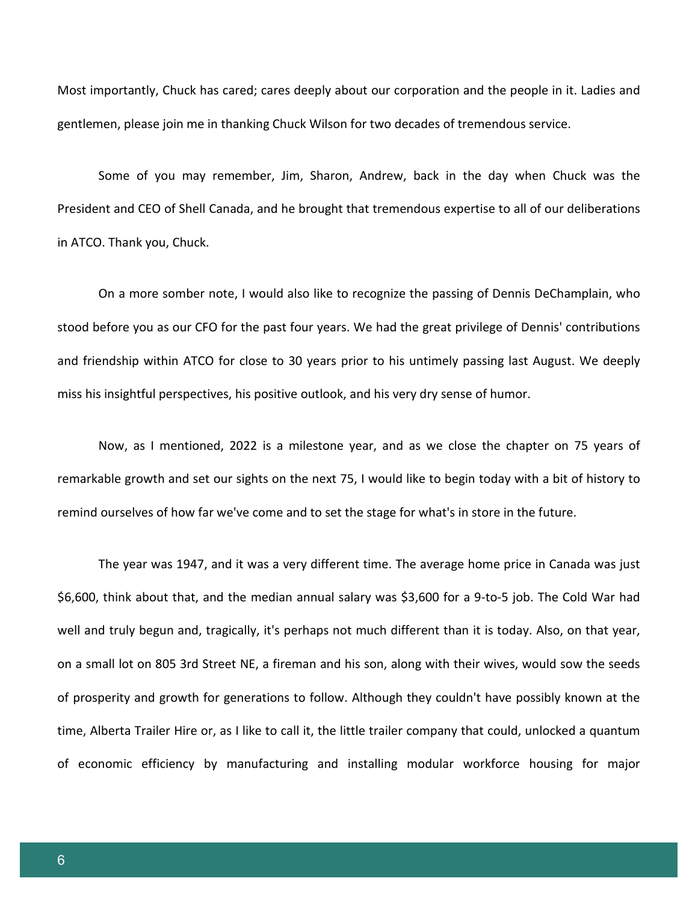Most importantly, Chuck has cared; cares deeply about our corporation and the people in it. Ladies and gentlemen, please join me in thanking Chuck Wilson for two decades of tremendous service.

Some of you may remember, Jim, Sharon, Andrew, back in the day when Chuck was the President and CEO of Shell Canada, and he brought that tremendous expertise to all of our deliberations in ATCO. Thank you, Chuck.

On a more somber note, I would also like to recognize the passing of Dennis DeChamplain, who stood before you as our CFO for the past four years. We had the great privilege of Dennis' contributions and friendship within ATCO for close to 30 years prior to his untimely passing last August. We deeply miss his insightful perspectives, his positive outlook, and his very dry sense of humor.

Now, as I mentioned, 2022 is a milestone year, and as we close the chapter on 75 years of remarkable growth and set our sights on the next 75, I would like to begin today with a bit of history to remind ourselves of how far we've come and to set the stage for what's in store in the future.

The year was 1947, and it was a very different time. The average home price in Canada was just \$6,600, think about that, and the median annual salary was \$3,600 for a 9-to-5 job. The Cold War had well and truly begun and, tragically, it's perhaps not much different than it is today. Also, on that year, on a small lot on 805 3rd Street NE, a fireman and his son, along with their wives, would sow the seeds of prosperity and growth for generations to follow. Although they couldn't have possibly known at the time, Alberta Trailer Hire or, as I like to call it, the little trailer company that could, unlocked a quantum of economic efficiency by manufacturing and installing modular workforce housing for major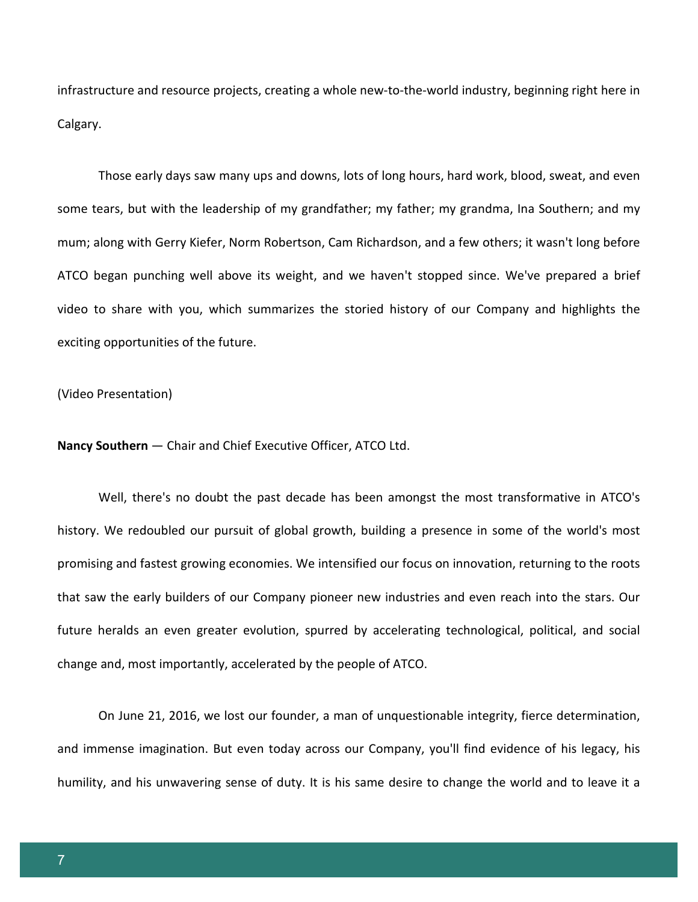infrastructure and resource projects, creating a whole new-to-the-world industry, beginning right here in Calgary.

Those early days saw many ups and downs, lots of long hours, hard work, blood, sweat, and even some tears, but with the leadership of my grandfather; my father; my grandma, Ina Southern; and my mum; along with Gerry Kiefer, Norm Robertson, Cam Richardson, and a few others; it wasn't long before ATCO began punching well above its weight, and we haven't stopped since. We've prepared a brief video to share with you, which summarizes the storied history of our Company and highlights the exciting opportunities of the future.

(Video Presentation)

**Nancy Southern** — Chair and Chief Executive Officer, ATCO Ltd.

Well, there's no doubt the past decade has been amongst the most transformative in ATCO's history. We redoubled our pursuit of global growth, building a presence in some of the world's most promising and fastest growing economies. We intensified our focus on innovation, returning to the roots that saw the early builders of our Company pioneer new industries and even reach into the stars. Our future heralds an even greater evolution, spurred by accelerating technological, political, and social change and, most importantly, accelerated by the people of ATCO.

On June 21, 2016, we lost our founder, a man of unquestionable integrity, fierce determination, and immense imagination. But even today across our Company, you'll find evidence of his legacy, his humility, and his unwavering sense of duty. It is his same desire to change the world and to leave it a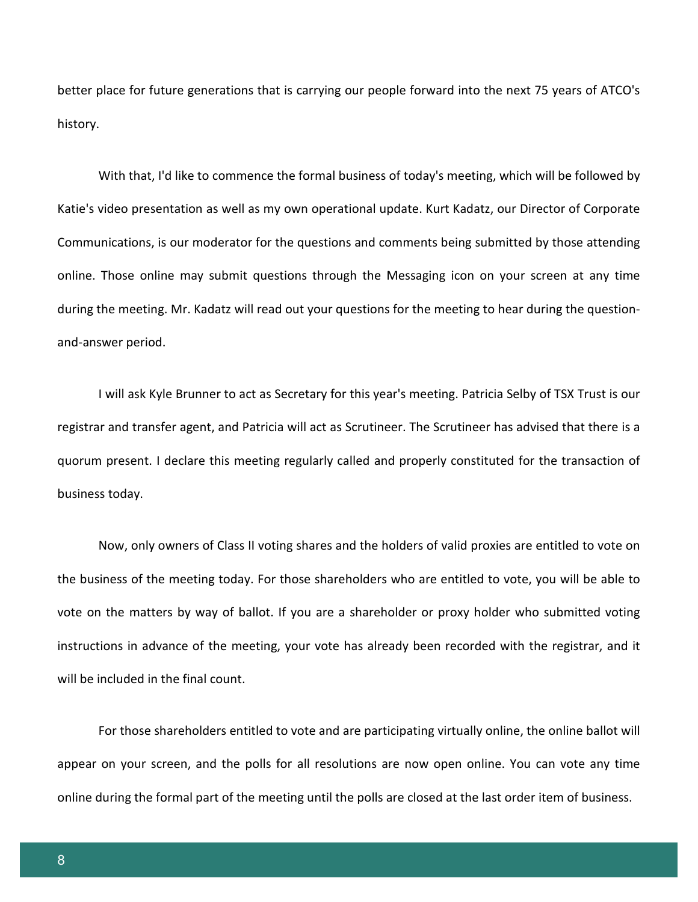better place for future generations that is carrying our people forward into the next 75 years of ATCO's history.

With that, I'd like to commence the formal business of today's meeting, which will be followed by Katie's video presentation as well as my own operational update. Kurt Kadatz, our Director of Corporate Communications, is our moderator for the questions and comments being submitted by those attending online. Those online may submit questions through the Messaging icon on your screen at any time during the meeting. Mr. Kadatz will read out your questions for the meeting to hear during the questionand-answer period.

I will ask Kyle Brunner to act as Secretary for this year's meeting. Patricia Selby of TSX Trust is our registrar and transfer agent, and Patricia will act as Scrutineer. The Scrutineer has advised that there is a quorum present. I declare this meeting regularly called and properly constituted for the transaction of business today.

Now, only owners of Class II voting shares and the holders of valid proxies are entitled to vote on the business of the meeting today. For those shareholders who are entitled to vote, you will be able to vote on the matters by way of ballot. If you are a shareholder or proxy holder who submitted voting instructions in advance of the meeting, your vote has already been recorded with the registrar, and it will be included in the final count.

For those shareholders entitled to vote and are participating virtually online, the online ballot will appear on your screen, and the polls for all resolutions are now open online. You can vote any time online during the formal part of the meeting until the polls are closed at the last order item of business.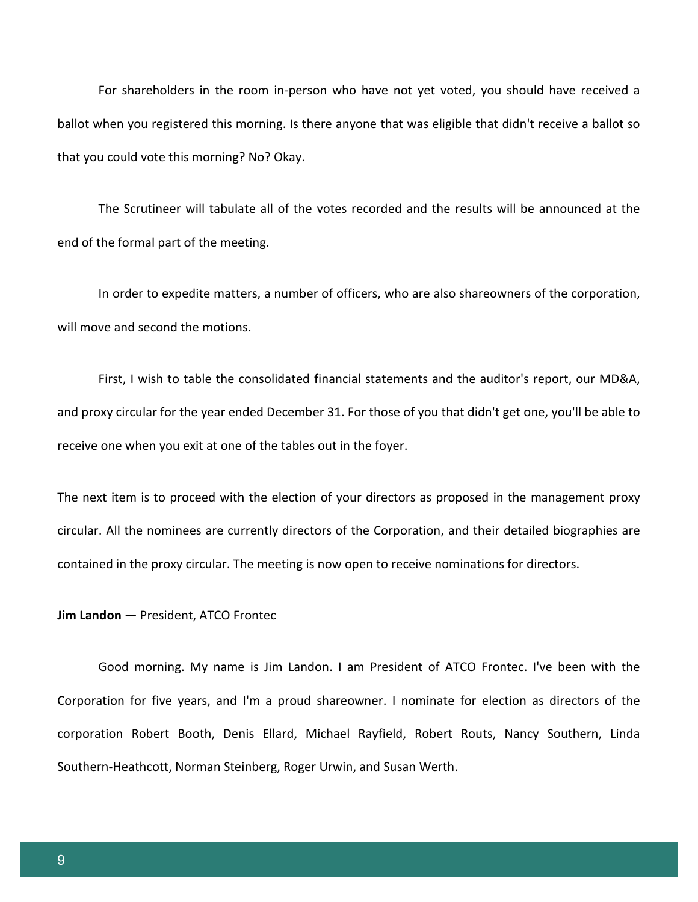For shareholders in the room in-person who have not yet voted, you should have received a ballot when you registered this morning. Is there anyone that was eligible that didn't receive a ballot so that you could vote this morning? No? Okay.

The Scrutineer will tabulate all of the votes recorded and the results will be announced at the end of the formal part of the meeting.

In order to expedite matters, a number of officers, who are also shareowners of the corporation, will move and second the motions.

First, I wish to table the consolidated financial statements and the auditor's report, our MD&A, and proxy circular for the year ended December 31. For those of you that didn't get one, you'll be able to receive one when you exit at one of the tables out in the foyer.

The next item is to proceed with the election of your directors as proposed in the management proxy circular. All the nominees are currently directors of the Corporation, and their detailed biographies are contained in the proxy circular. The meeting is now open to receive nominations for directors.

#### **Jim Landon** — President, ATCO Frontec

Good morning. My name is Jim Landon. I am President of ATCO Frontec. I've been with the Corporation for five years, and I'm a proud shareowner. I nominate for election as directors of the corporation Robert Booth, Denis Ellard, Michael Rayfield, Robert Routs, Nancy Southern, Linda Southern-Heathcott, Norman Steinberg, Roger Urwin, and Susan Werth.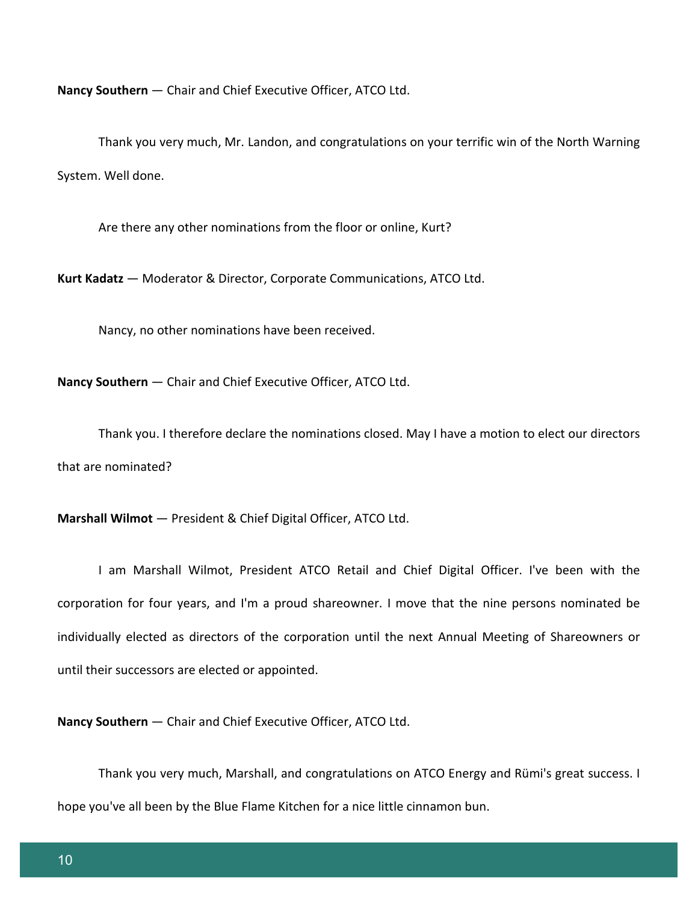**Nancy Southern** — Chair and Chief Executive Officer, ATCO Ltd.

Thank you very much, Mr. Landon, and congratulations on your terrific win of the North Warning System. Well done.

Are there any other nominations from the floor or online, Kurt?

**Kurt Kadatz** — Moderator & Director, Corporate Communications, ATCO Ltd.

Nancy, no other nominations have been received.

**Nancy Southern** — Chair and Chief Executive Officer, ATCO Ltd.

Thank you. I therefore declare the nominations closed. May I have a motion to elect our directors that are nominated?

**Marshall Wilmot** — President & Chief Digital Officer, ATCO Ltd.

I am Marshall Wilmot, President ATCO Retail and Chief Digital Officer. I've been with the corporation for four years, and I'm a proud shareowner. I move that the nine persons nominated be individually elected as directors of the corporation until the next Annual Meeting of Shareowners or until their successors are elected or appointed.

**Nancy Southern** — Chair and Chief Executive Officer, ATCO Ltd.

Thank you very much, Marshall, and congratulations on ATCO Energy and Rümi's great success. I hope you've all been by the Blue Flame Kitchen for a nice little cinnamon bun.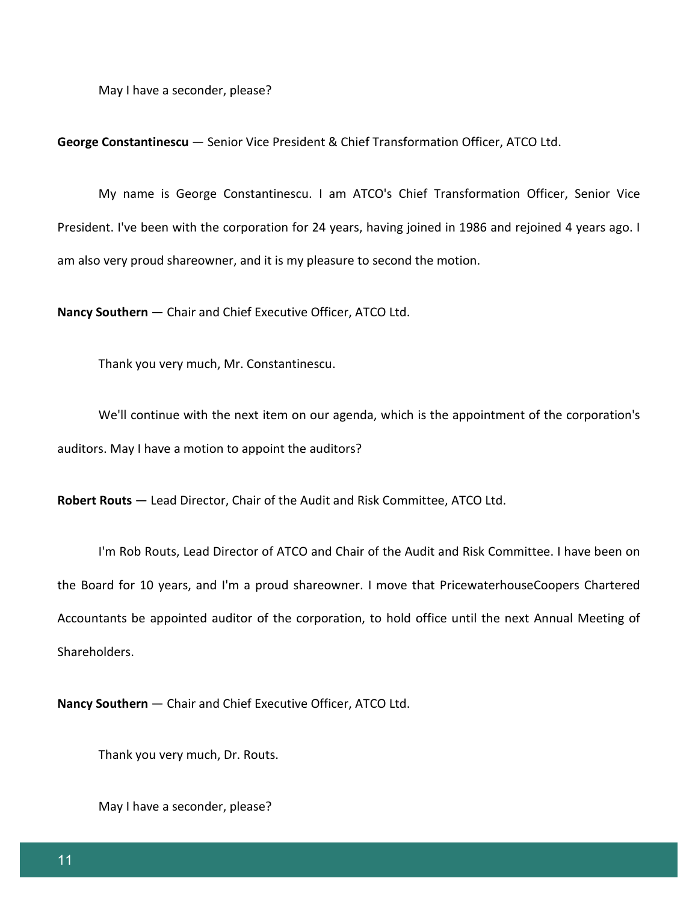May I have a seconder, please?

**George Constantinescu** — Senior Vice President & Chief Transformation Officer, ATCO Ltd.

My name is George Constantinescu. I am ATCO's Chief Transformation Officer, Senior Vice President. I've been with the corporation for 24 years, having joined in 1986 and rejoined 4 years ago. I am also very proud shareowner, and it is my pleasure to second the motion.

**Nancy Southern** — Chair and Chief Executive Officer, ATCO Ltd.

Thank you very much, Mr. Constantinescu.

We'll continue with the next item on our agenda, which is the appointment of the corporation's auditors. May I have a motion to appoint the auditors?

**Robert Routs** — Lead Director, Chair of the Audit and Risk Committee, ATCO Ltd.

I'm Rob Routs, Lead Director of ATCO and Chair of the Audit and Risk Committee. I have been on the Board for 10 years, and I'm a proud shareowner. I move that PricewaterhouseCoopers Chartered Accountants be appointed auditor of the corporation, to hold office until the next Annual Meeting of Shareholders.

**Nancy Southern** — Chair and Chief Executive Officer, ATCO Ltd.

Thank you very much, Dr. Routs.

May I have a seconder, please?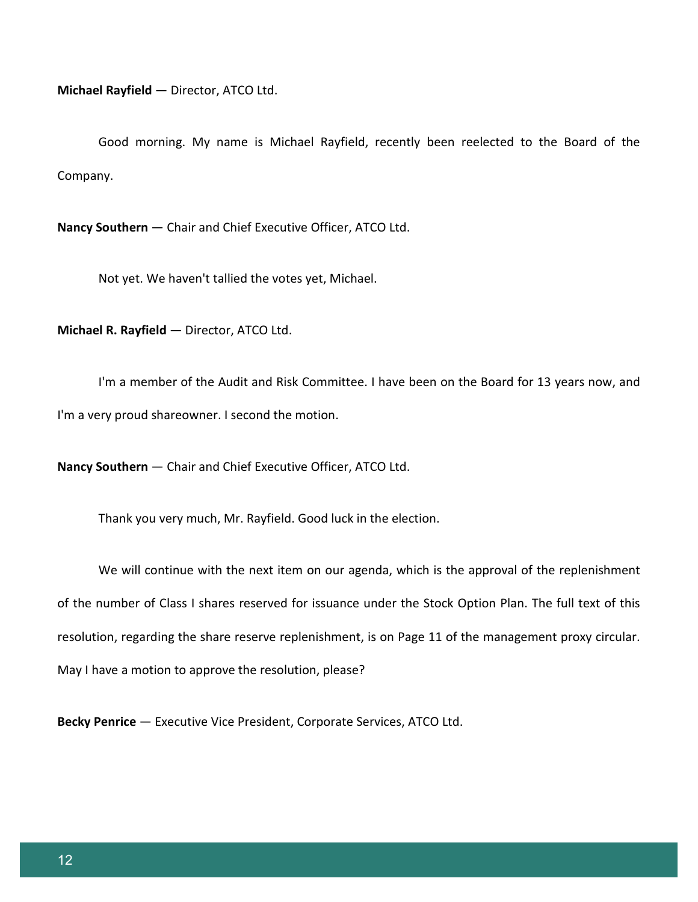**Michael Rayfield** — Director, ATCO Ltd.

Good morning. My name is Michael Rayfield, recently been reelected to the Board of the Company.

**Nancy Southern** — Chair and Chief Executive Officer, ATCO Ltd.

Not yet. We haven't tallied the votes yet, Michael.

**Michael R. Rayfield** — Director, ATCO Ltd.

I'm a member of the Audit and Risk Committee. I have been on the Board for 13 years now, and I'm a very proud shareowner. I second the motion.

**Nancy Southern** — Chair and Chief Executive Officer, ATCO Ltd.

Thank you very much, Mr. Rayfield. Good luck in the election.

We will continue with the next item on our agenda, which is the approval of the replenishment of the number of Class I shares reserved for issuance under the Stock Option Plan. The full text of this resolution, regarding the share reserve replenishment, is on Page 11 of the management proxy circular. May I have a motion to approve the resolution, please?

**Becky Penrice** — Executive Vice President, Corporate Services, ATCO Ltd.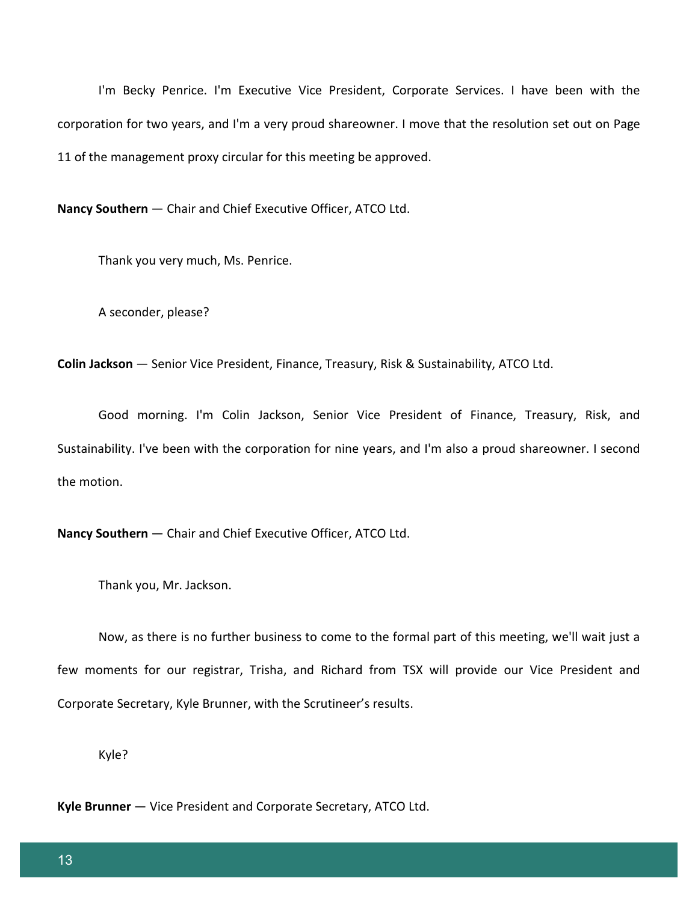I'm Becky Penrice. I'm Executive Vice President, Corporate Services. I have been with the corporation for two years, and I'm a very proud shareowner. I move that the resolution set out on Page 11 of the management proxy circular for this meeting be approved.

**Nancy Southern** — Chair and Chief Executive Officer, ATCO Ltd.

Thank you very much, Ms. Penrice.

A seconder, please?

**Colin Jackson** — Senior Vice President, Finance, Treasury, Risk & Sustainability, ATCO Ltd.

Good morning. I'm Colin Jackson, Senior Vice President of Finance, Treasury, Risk, and Sustainability. I've been with the corporation for nine years, and I'm also a proud shareowner. I second the motion.

**Nancy Southern** — Chair and Chief Executive Officer, ATCO Ltd.

Thank you, Mr. Jackson.

Now, as there is no further business to come to the formal part of this meeting, we'll wait just a few moments for our registrar, Trisha, and Richard from TSX will provide our Vice President and Corporate Secretary, Kyle Brunner, with the Scrutineer's results.

Kyle?

**Kyle Brunner** — Vice President and Corporate Secretary, ATCO Ltd.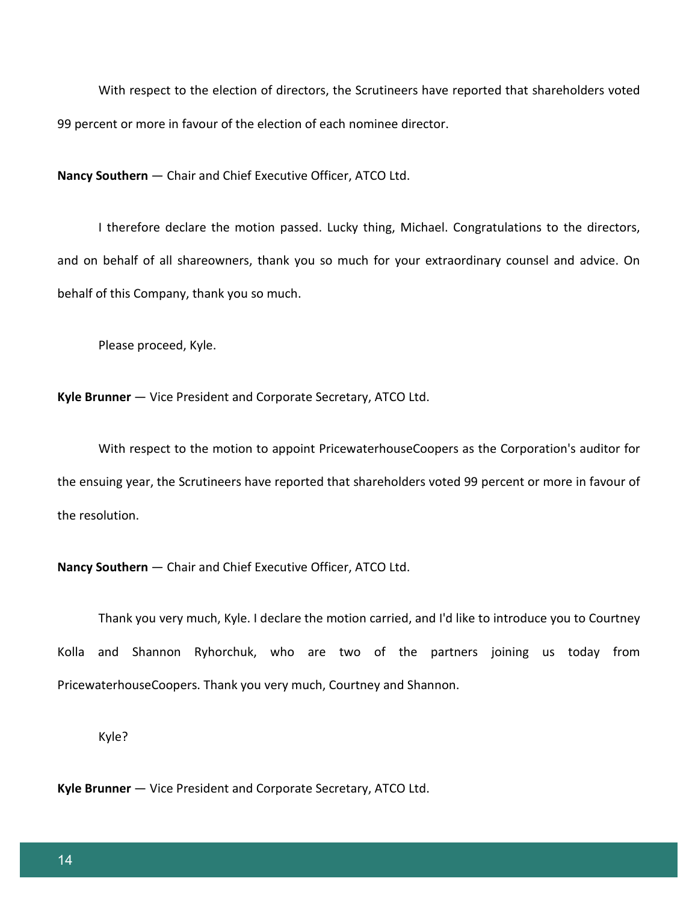With respect to the election of directors, the Scrutineers have reported that shareholders voted 99 percent or more in favour of the election of each nominee director.

**Nancy Southern** — Chair and Chief Executive Officer, ATCO Ltd.

I therefore declare the motion passed. Lucky thing, Michael. Congratulations to the directors, and on behalf of all shareowners, thank you so much for your extraordinary counsel and advice. On behalf of this Company, thank you so much.

Please proceed, Kyle.

**Kyle Brunner** — Vice President and Corporate Secretary, ATCO Ltd.

With respect to the motion to appoint PricewaterhouseCoopers as the Corporation's auditor for the ensuing year, the Scrutineers have reported that shareholders voted 99 percent or more in favour of the resolution.

**Nancy Southern** — Chair and Chief Executive Officer, ATCO Ltd.

Thank you very much, Kyle. I declare the motion carried, and I'd like to introduce you to Courtney Kolla and Shannon Ryhorchuk, who are two of the partners joining us today from PricewaterhouseCoopers. Thank you very much, Courtney and Shannon.

Kyle?

**Kyle Brunner** — Vice President and Corporate Secretary, ATCO Ltd.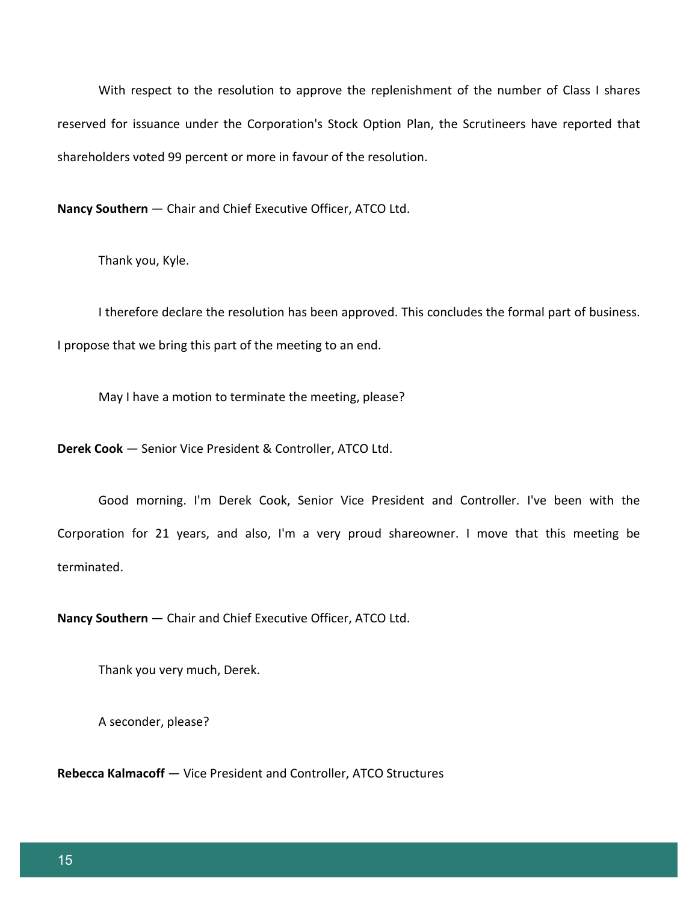With respect to the resolution to approve the replenishment of the number of Class I shares reserved for issuance under the Corporation's Stock Option Plan, the Scrutineers have reported that shareholders voted 99 percent or more in favour of the resolution.

**Nancy Southern** — Chair and Chief Executive Officer, ATCO Ltd.

Thank you, Kyle.

I therefore declare the resolution has been approved. This concludes the formal part of business. I propose that we bring this part of the meeting to an end.

May I have a motion to terminate the meeting, please?

**Derek Cook** — Senior Vice President & Controller, ATCO Ltd.

Good morning. I'm Derek Cook, Senior Vice President and Controller. I've been with the Corporation for 21 years, and also, I'm a very proud shareowner. I move that this meeting be terminated.

**Nancy Southern** — Chair and Chief Executive Officer, ATCO Ltd.

Thank you very much, Derek.

A seconder, please?

**Rebecca Kalmacoff** — Vice President and Controller, ATCO Structures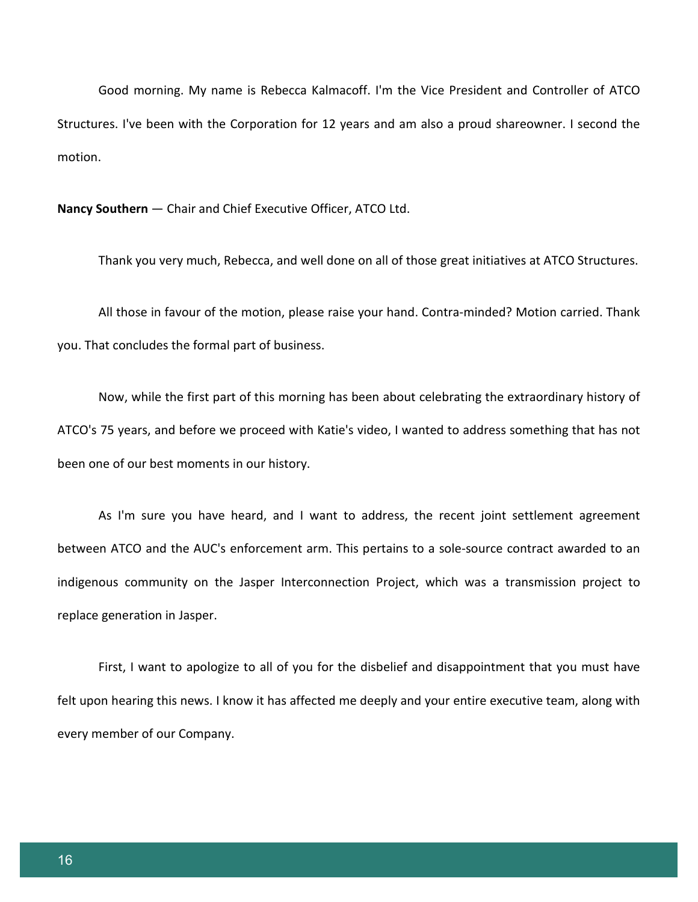Good morning. My name is Rebecca Kalmacoff. I'm the Vice President and Controller of ATCO Structures. I've been with the Corporation for 12 years and am also a proud shareowner. I second the motion.

**Nancy Southern** — Chair and Chief Executive Officer, ATCO Ltd.

Thank you very much, Rebecca, and well done on all of those great initiatives at ATCO Structures.

All those in favour of the motion, please raise your hand. Contra-minded? Motion carried. Thank you. That concludes the formal part of business.

Now, while the first part of this morning has been about celebrating the extraordinary history of ATCO's 75 years, and before we proceed with Katie's video, I wanted to address something that has not been one of our best moments in our history.

As I'm sure you have heard, and I want to address, the recent joint settlement agreement between ATCO and the AUC's enforcement arm. This pertains to a sole-source contract awarded to an indigenous community on the Jasper Interconnection Project, which was a transmission project to replace generation in Jasper.

First, I want to apologize to all of you for the disbelief and disappointment that you must have felt upon hearing this news. I know it has affected me deeply and your entire executive team, along with every member of our Company.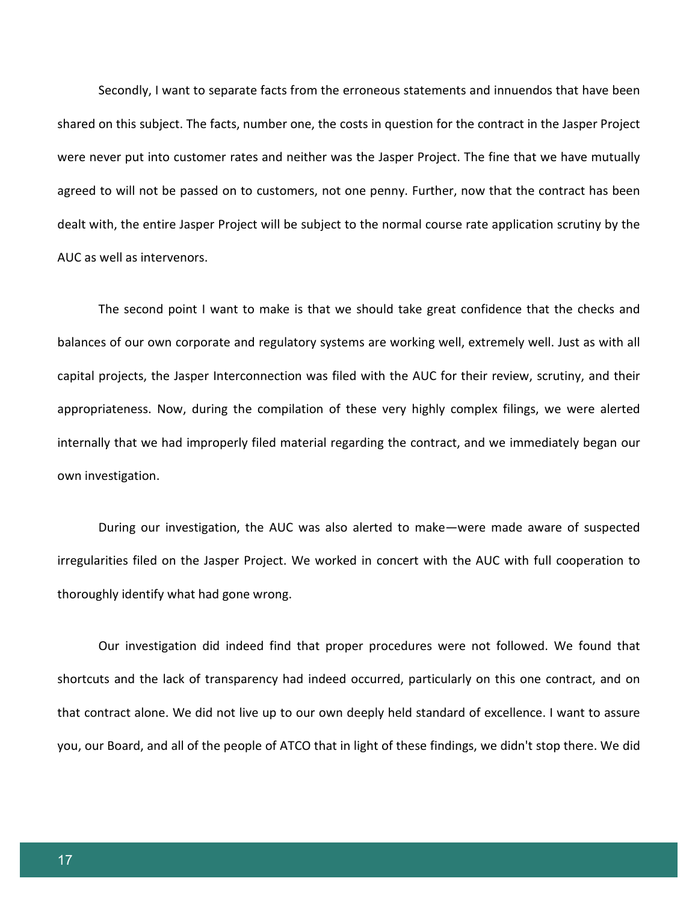Secondly, I want to separate facts from the erroneous statements and innuendos that have been shared on this subject. The facts, number one, the costs in question for the contract in the Jasper Project were never put into customer rates and neither was the Jasper Project. The fine that we have mutually agreed to will not be passed on to customers, not one penny. Further, now that the contract has been dealt with, the entire Jasper Project will be subject to the normal course rate application scrutiny by the AUC as well as intervenors.

The second point I want to make is that we should take great confidence that the checks and balances of our own corporate and regulatory systems are working well, extremely well. Just as with all capital projects, the Jasper Interconnection was filed with the AUC for their review, scrutiny, and their appropriateness. Now, during the compilation of these very highly complex filings, we were alerted internally that we had improperly filed material regarding the contract, and we immediately began our own investigation.

During our investigation, the AUC was also alerted to make—were made aware of suspected irregularities filed on the Jasper Project. We worked in concert with the AUC with full cooperation to thoroughly identify what had gone wrong.

Our investigation did indeed find that proper procedures were not followed. We found that shortcuts and the lack of transparency had indeed occurred, particularly on this one contract, and on that contract alone. We did not live up to our own deeply held standard of excellence. I want to assure you, our Board, and all of the people of ATCO that in light of these findings, we didn't stop there. We did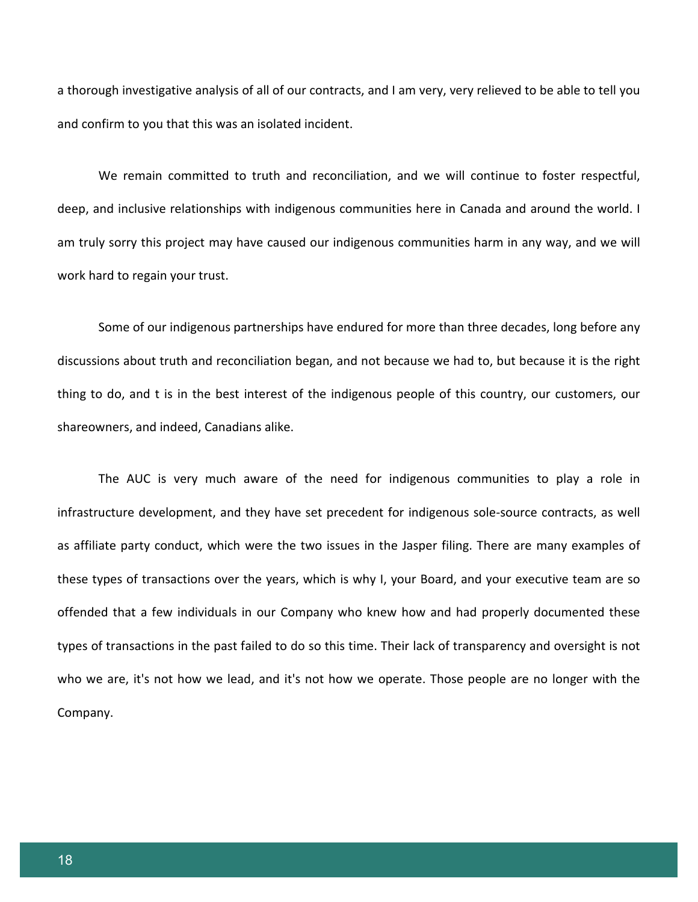a thorough investigative analysis of all of our contracts, and I am very, very relieved to be able to tell you and confirm to you that this was an isolated incident.

We remain committed to truth and reconciliation, and we will continue to foster respectful, deep, and inclusive relationships with indigenous communities here in Canada and around the world. I am truly sorry this project may have caused our indigenous communities harm in any way, and we will work hard to regain your trust.

Some of our indigenous partnerships have endured for more than three decades, long before any discussions about truth and reconciliation began, and not because we had to, but because it is the right thing to do, and t is in the best interest of the indigenous people of this country, our customers, our shareowners, and indeed, Canadians alike.

The AUC is very much aware of the need for indigenous communities to play a role in infrastructure development, and they have set precedent for indigenous sole-source contracts, as well as affiliate party conduct, which were the two issues in the Jasper filing. There are many examples of these types of transactions over the years, which is why I, your Board, and your executive team are so offended that a few individuals in our Company who knew how and had properly documented these types of transactions in the past failed to do so this time. Their lack of transparency and oversight is not who we are, it's not how we lead, and it's not how we operate. Those people are no longer with the Company.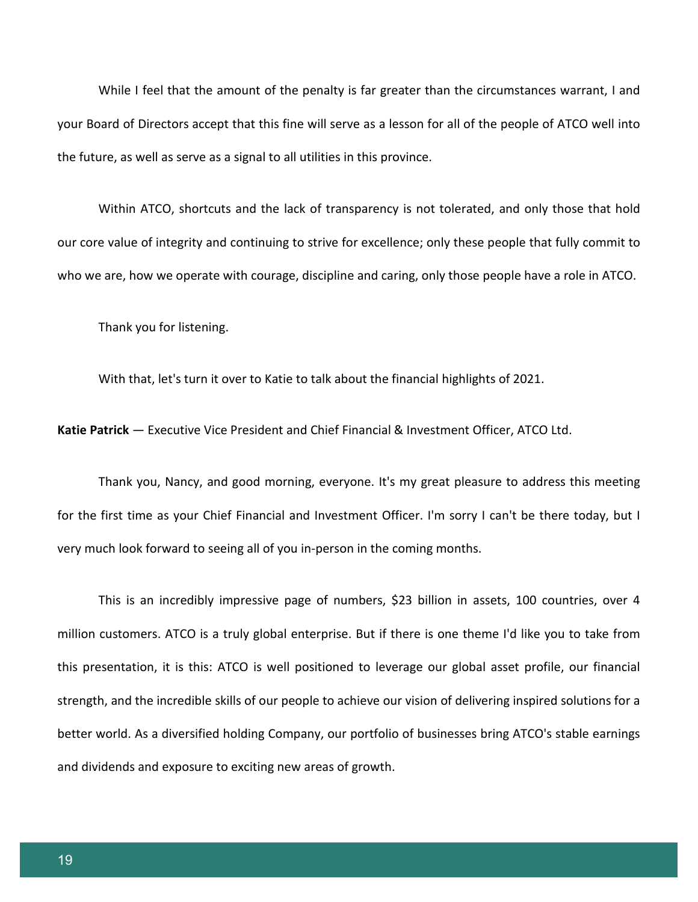While I feel that the amount of the penalty is far greater than the circumstances warrant, I and your Board of Directors accept that this fine will serve as a lesson for all of the people of ATCO well into the future, as well as serve as a signal to all utilities in this province.

Within ATCO, shortcuts and the lack of transparency is not tolerated, and only those that hold our core value of integrity and continuing to strive for excellence; only these people that fully commit to who we are, how we operate with courage, discipline and caring, only those people have a role in ATCO.

Thank you for listening.

With that, let's turn it over to Katie to talk about the financial highlights of 2021.

**Katie Patrick** — Executive Vice President and Chief Financial & Investment Officer, ATCO Ltd.

Thank you, Nancy, and good morning, everyone. It's my great pleasure to address this meeting for the first time as your Chief Financial and Investment Officer. I'm sorry I can't be there today, but I very much look forward to seeing all of you in-person in the coming months.

This is an incredibly impressive page of numbers, \$23 billion in assets, 100 countries, over 4 million customers. ATCO is a truly global enterprise. But if there is one theme I'd like you to take from this presentation, it is this: ATCO is well positioned to leverage our global asset profile, our financial strength, and the incredible skills of our people to achieve our vision of delivering inspired solutions for a better world. As a diversified holding Company, our portfolio of businesses bring ATCO's stable earnings and dividends and exposure to exciting new areas of growth.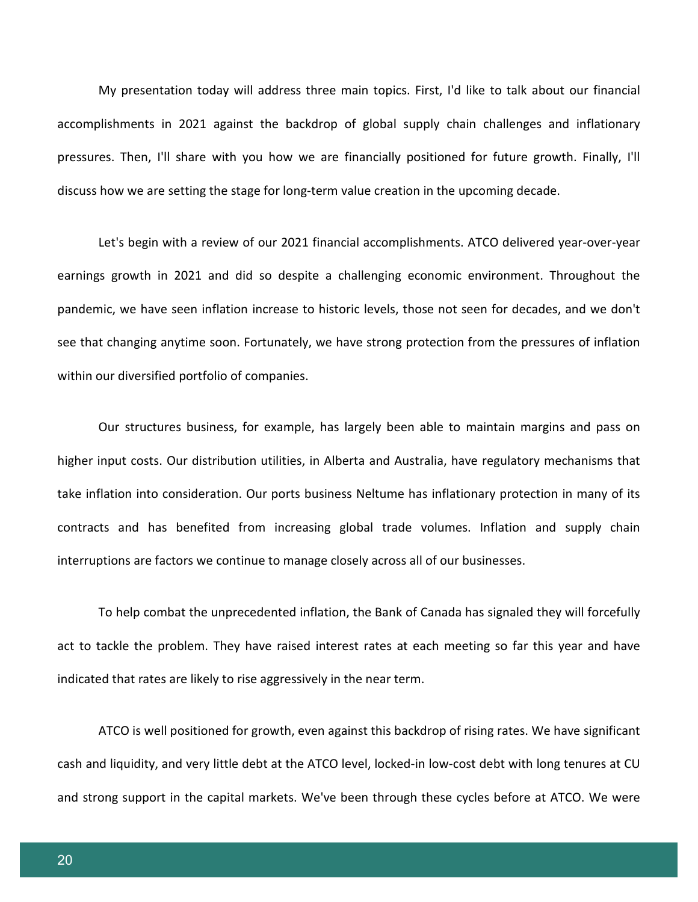My presentation today will address three main topics. First, I'd like to talk about our financial accomplishments in 2021 against the backdrop of global supply chain challenges and inflationary pressures. Then, I'll share with you how we are financially positioned for future growth. Finally, I'll discuss how we are setting the stage for long-term value creation in the upcoming decade.

Let's begin with a review of our 2021 financial accomplishments. ATCO delivered year-over-year earnings growth in 2021 and did so despite a challenging economic environment. Throughout the pandemic, we have seen inflation increase to historic levels, those not seen for decades, and we don't see that changing anytime soon. Fortunately, we have strong protection from the pressures of inflation within our diversified portfolio of companies.

Our structures business, for example, has largely been able to maintain margins and pass on higher input costs. Our distribution utilities, in Alberta and Australia, have regulatory mechanisms that take inflation into consideration. Our ports business Neltume has inflationary protection in many of its contracts and has benefited from increasing global trade volumes. Inflation and supply chain interruptions are factors we continue to manage closely across all of our businesses.

To help combat the unprecedented inflation, the Bank of Canada has signaled they will forcefully act to tackle the problem. They have raised interest rates at each meeting so far this year and have indicated that rates are likely to rise aggressively in the near term.

ATCO is well positioned for growth, even against this backdrop of rising rates. We have significant cash and liquidity, and very little debt at the ATCO level, locked-in low-cost debt with long tenures at CU and strong support in the capital markets. We've been through these cycles before at ATCO. We were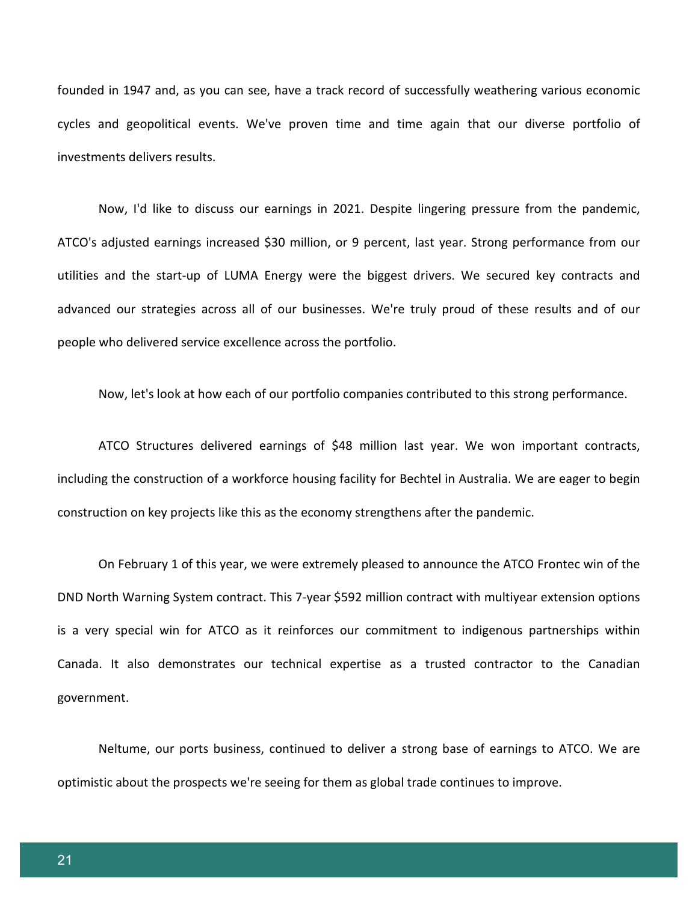founded in 1947 and, as you can see, have a track record of successfully weathering various economic cycles and geopolitical events. We've proven time and time again that our diverse portfolio of investments delivers results.

Now, I'd like to discuss our earnings in 2021. Despite lingering pressure from the pandemic, ATCO's adjusted earnings increased \$30 million, or 9 percent, last year. Strong performance from our utilities and the start-up of LUMA Energy were the biggest drivers. We secured key contracts and advanced our strategies across all of our businesses. We're truly proud of these results and of our people who delivered service excellence across the portfolio.

Now, let's look at how each of our portfolio companies contributed to this strong performance.

ATCO Structures delivered earnings of \$48 million last year. We won important contracts, including the construction of a workforce housing facility for Bechtel in Australia. We are eager to begin construction on key projects like this as the economy strengthens after the pandemic.

On February 1 of this year, we were extremely pleased to announce the ATCO Frontec win of the DND North Warning System contract. This 7-year \$592 million contract with multiyear extension options is a very special win for ATCO as it reinforces our commitment to indigenous partnerships within Canada. It also demonstrates our technical expertise as a trusted contractor to the Canadian government.

Neltume, our ports business, continued to deliver a strong base of earnings to ATCO. We are optimistic about the prospects we're seeing for them as global trade continues to improve.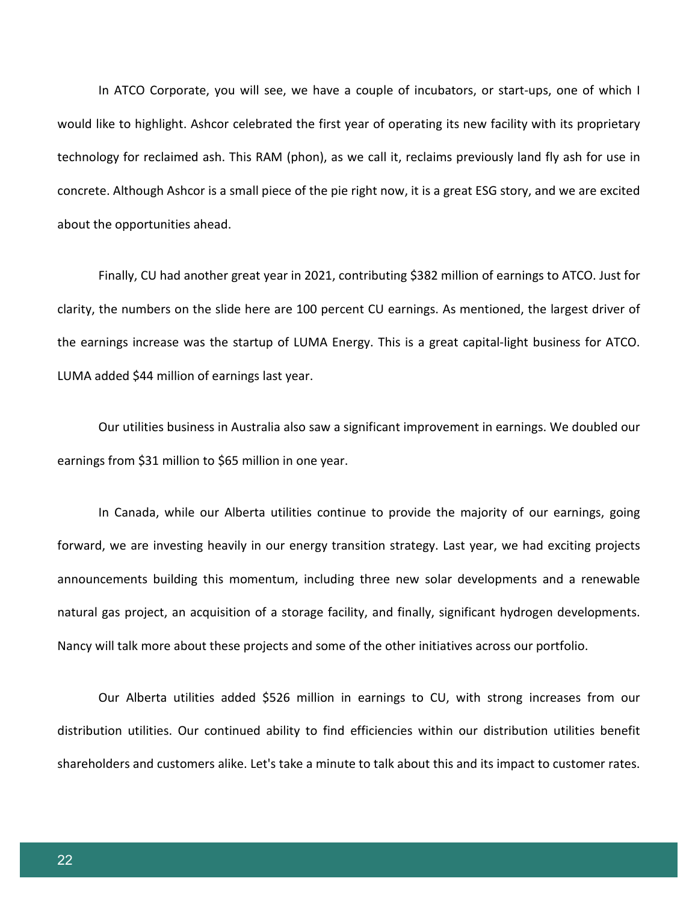In ATCO Corporate, you will see, we have a couple of incubators, or start-ups, one of which I would like to highlight. Ashcor celebrated the first year of operating its new facility with its proprietary technology for reclaimed ash. This RAM (phon), as we call it, reclaims previously land fly ash for use in concrete. Although Ashcor is a small piece of the pie right now, it is a great ESG story, and we are excited about the opportunities ahead.

Finally, CU had another great year in 2021, contributing \$382 million of earnings to ATCO. Just for clarity, the numbers on the slide here are 100 percent CU earnings. As mentioned, the largest driver of the earnings increase was the startup of LUMA Energy. This is a great capital-light business for ATCO. LUMA added \$44 million of earnings last year.

Our utilities business in Australia also saw a significant improvement in earnings. We doubled our earnings from \$31 million to \$65 million in one year.

In Canada, while our Alberta utilities continue to provide the majority of our earnings, going forward, we are investing heavily in our energy transition strategy. Last year, we had exciting projects announcements building this momentum, including three new solar developments and a renewable natural gas project, an acquisition of a storage facility, and finally, significant hydrogen developments. Nancy will talk more about these projects and some of the other initiatives across our portfolio.

Our Alberta utilities added \$526 million in earnings to CU, with strong increases from our distribution utilities. Our continued ability to find efficiencies within our distribution utilities benefit shareholders and customers alike. Let's take a minute to talk about this and its impact to customer rates.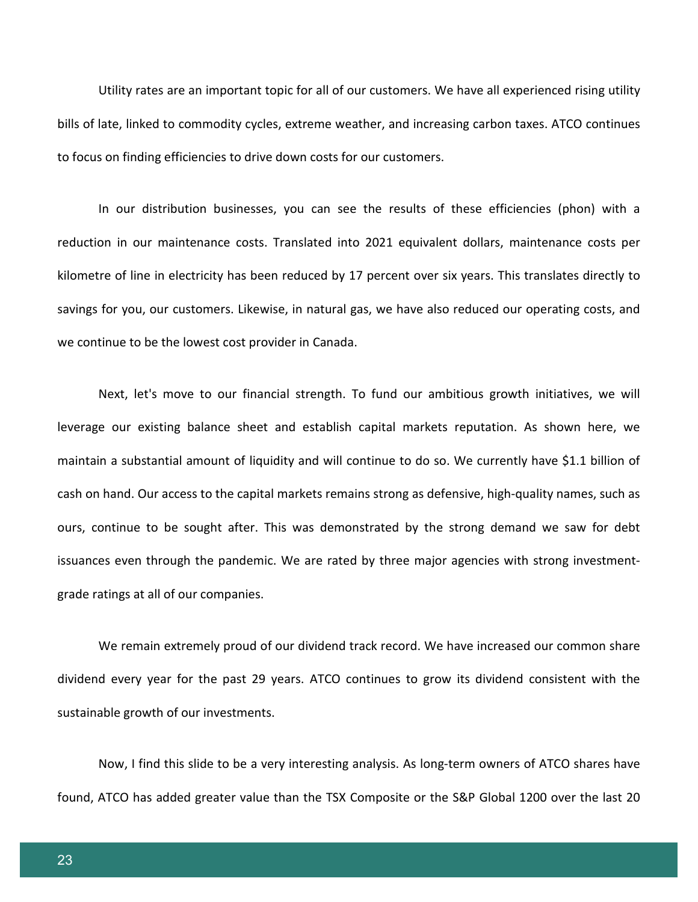Utility rates are an important topic for all of our customers. We have all experienced rising utility bills of late, linked to commodity cycles, extreme weather, and increasing carbon taxes. ATCO continues to focus on finding efficiencies to drive down costs for our customers.

In our distribution businesses, you can see the results of these efficiencies (phon) with a reduction in our maintenance costs. Translated into 2021 equivalent dollars, maintenance costs per kilometre of line in electricity has been reduced by 17 percent over six years. This translates directly to savings for you, our customers. Likewise, in natural gas, we have also reduced our operating costs, and we continue to be the lowest cost provider in Canada.

Next, let's move to our financial strength. To fund our ambitious growth initiatives, we will leverage our existing balance sheet and establish capital markets reputation. As shown here, we maintain a substantial amount of liquidity and will continue to do so. We currently have \$1.1 billion of cash on hand. Our access to the capital markets remains strong as defensive, high-quality names, such as ours, continue to be sought after. This was demonstrated by the strong demand we saw for debt issuances even through the pandemic. We are rated by three major agencies with strong investmentgrade ratings at all of our companies.

We remain extremely proud of our dividend track record. We have increased our common share dividend every year for the past 29 years. ATCO continues to grow its dividend consistent with the sustainable growth of our investments.

Now, I find this slide to be a very interesting analysis. As long-term owners of ATCO shares have found, ATCO has added greater value than the TSX Composite or the S&P Global 1200 over the last 20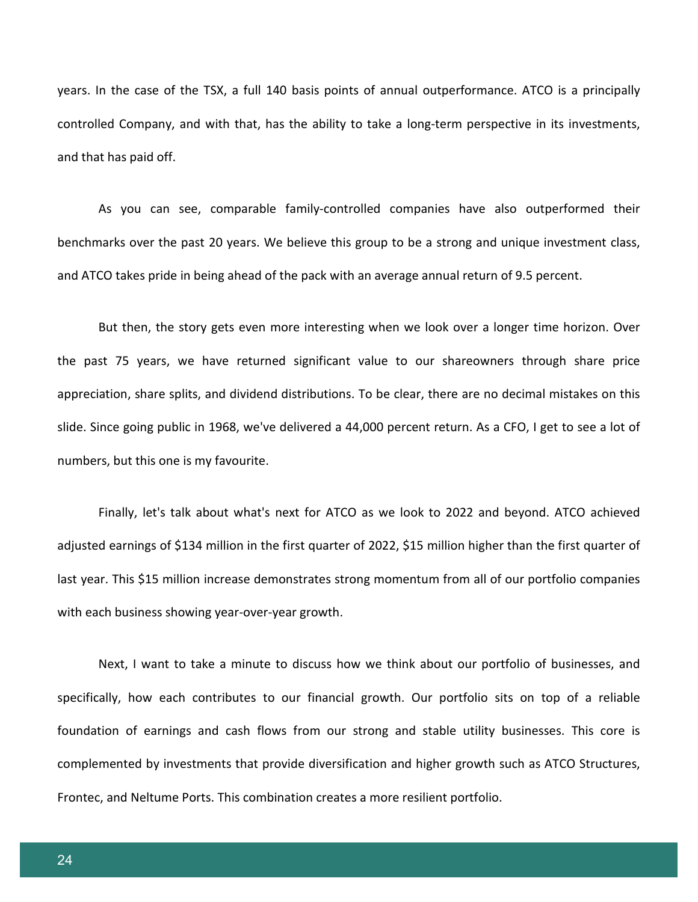years. In the case of the TSX, a full 140 basis points of annual outperformance. ATCO is a principally controlled Company, and with that, has the ability to take a long-term perspective in its investments, and that has paid off.

As you can see, comparable family-controlled companies have also outperformed their benchmarks over the past 20 years. We believe this group to be a strong and unique investment class, and ATCO takes pride in being ahead of the pack with an average annual return of 9.5 percent.

But then, the story gets even more interesting when we look over a longer time horizon. Over the past 75 years, we have returned significant value to our shareowners through share price appreciation, share splits, and dividend distributions. To be clear, there are no decimal mistakes on this slide. Since going public in 1968, we've delivered a 44,000 percent return. As a CFO, I get to see a lot of numbers, but this one is my favourite.

Finally, let's talk about what's next for ATCO as we look to 2022 and beyond. ATCO achieved adjusted earnings of \$134 million in the first quarter of 2022, \$15 million higher than the first quarter of last year. This \$15 million increase demonstrates strong momentum from all of our portfolio companies with each business showing year-over-year growth.

Next, I want to take a minute to discuss how we think about our portfolio of businesses, and specifically, how each contributes to our financial growth. Our portfolio sits on top of a reliable foundation of earnings and cash flows from our strong and stable utility businesses. This core is complemented by investments that provide diversification and higher growth such as ATCO Structures, Frontec, and Neltume Ports. This combination creates a more resilient portfolio.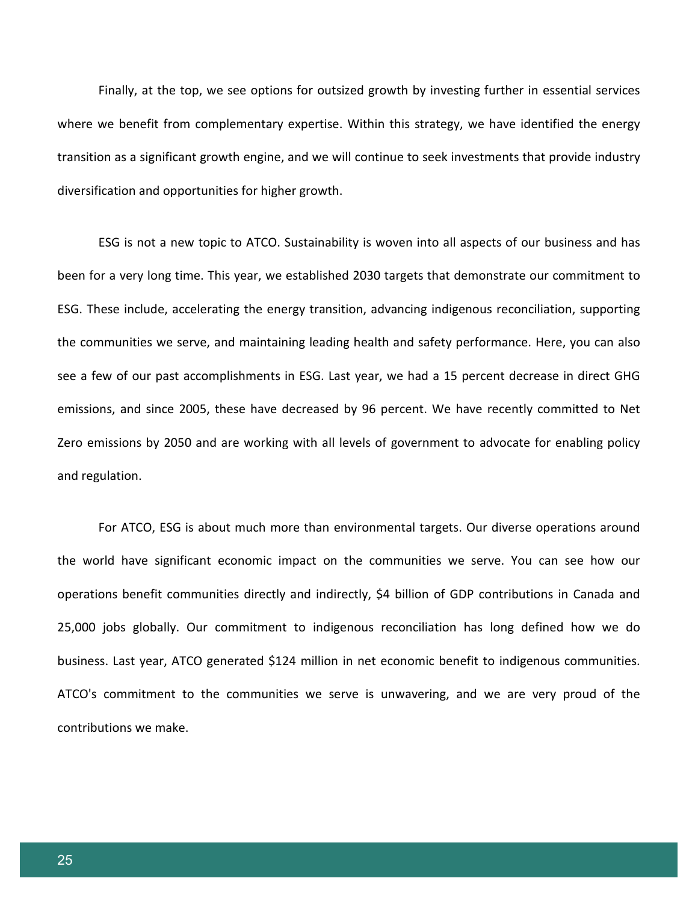Finally, at the top, we see options for outsized growth by investing further in essential services where we benefit from complementary expertise. Within this strategy, we have identified the energy transition as a significant growth engine, and we will continue to seek investments that provide industry diversification and opportunities for higher growth.

ESG is not a new topic to ATCO. Sustainability is woven into all aspects of our business and has been for a very long time. This year, we established 2030 targets that demonstrate our commitment to ESG. These include, accelerating the energy transition, advancing indigenous reconciliation, supporting the communities we serve, and maintaining leading health and safety performance. Here, you can also see a few of our past accomplishments in ESG. Last year, we had a 15 percent decrease in direct GHG emissions, and since 2005, these have decreased by 96 percent. We have recently committed to Net Zero emissions by 2050 and are working with all levels of government to advocate for enabling policy and regulation.

For ATCO, ESG is about much more than environmental targets. Our diverse operations around the world have significant economic impact on the communities we serve. You can see how our operations benefit communities directly and indirectly, \$4 billion of GDP contributions in Canada and 25,000 jobs globally. Our commitment to indigenous reconciliation has long defined how we do business. Last year, ATCO generated \$124 million in net economic benefit to indigenous communities. ATCO's commitment to the communities we serve is unwavering, and we are very proud of the contributions we make.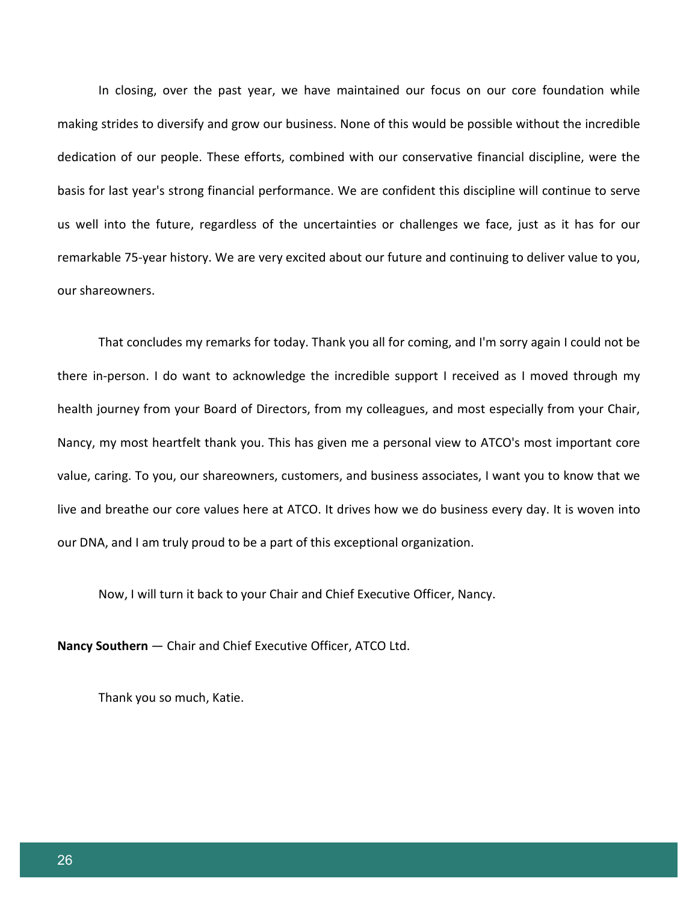In closing, over the past year, we have maintained our focus on our core foundation while making strides to diversify and grow our business. None of this would be possible without the incredible dedication of our people. These efforts, combined with our conservative financial discipline, were the basis for last year's strong financial performance. We are confident this discipline will continue to serve us well into the future, regardless of the uncertainties or challenges we face, just as it has for our remarkable 75-year history. We are very excited about our future and continuing to deliver value to you, our shareowners.

That concludes my remarks for today. Thank you all for coming, and I'm sorry again I could not be there in-person. I do want to acknowledge the incredible support I received as I moved through my health journey from your Board of Directors, from my colleagues, and most especially from your Chair, Nancy, my most heartfelt thank you. This has given me a personal view to ATCO's most important core value, caring. To you, our shareowners, customers, and business associates, I want you to know that we live and breathe our core values here at ATCO. It drives how we do business every day. It is woven into our DNA, and I am truly proud to be a part of this exceptional organization.

Now, I will turn it back to your Chair and Chief Executive Officer, Nancy.

**Nancy Southern** — Chair and Chief Executive Officer, ATCO Ltd.

Thank you so much, Katie.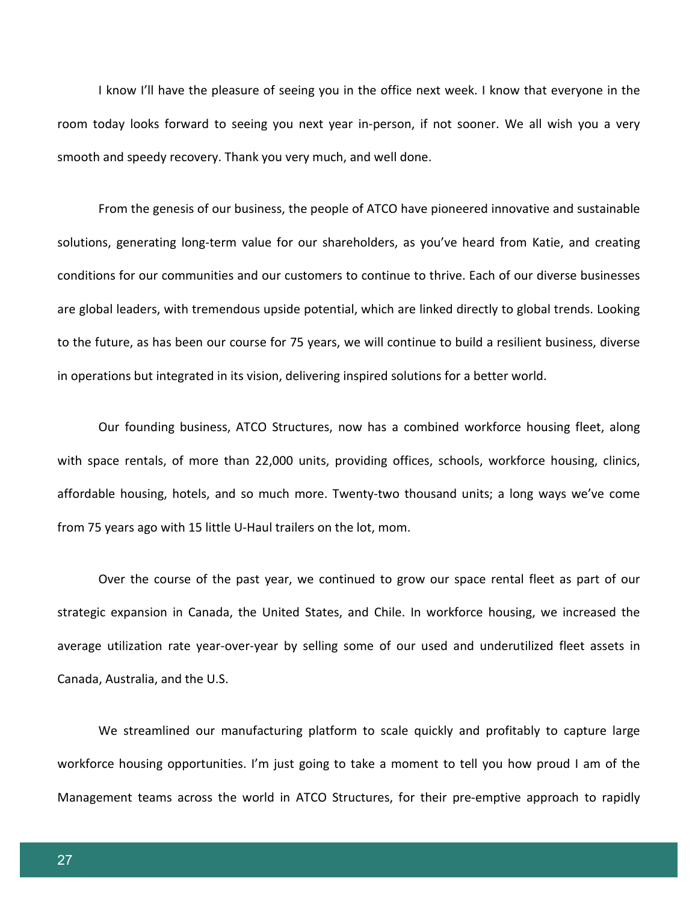I know I'll have the pleasure of seeing you in the office next week. I know that everyone in the room today looks forward to seeing you next year in-person, if not sooner. We all wish you a very smooth and speedy recovery. Thank you very much, and well done.

From the genesis of our business, the people of ATCO have pioneered innovative and sustainable solutions, generating long-term value for our shareholders, as you've heard from Katie, and creating conditions for our communities and our customers to continue to thrive. Each of our diverse businesses are global leaders, with tremendous upside potential, which are linked directly to global trends. Looking to the future, as has been our course for 75 years, we will continue to build a resilient business, diverse in operations but integrated in its vision, delivering inspired solutions for a better world.

Our founding business, ATCO Structures, now has a combined workforce housing fleet, along with space rentals, of more than 22,000 units, providing offices, schools, workforce housing, clinics, affordable housing, hotels, and so much more. Twenty-two thousand units; a long ways we've come from 75 years ago with 15 little U-Haul trailers on the lot, mom.

Over the course of the past year, we continued to grow our space rental fleet as part of our strategic expansion in Canada, the United States, and Chile. In workforce housing, we increased the average utilization rate year-over-year by selling some of our used and underutilized fleet assets in Canada, Australia, and the U.S.

We streamlined our manufacturing platform to scale quickly and profitably to capture large workforce housing opportunities. I'm just going to take a moment to tell you how proud I am of the Management teams across the world in ATCO Structures, for their pre-emptive approach to rapidly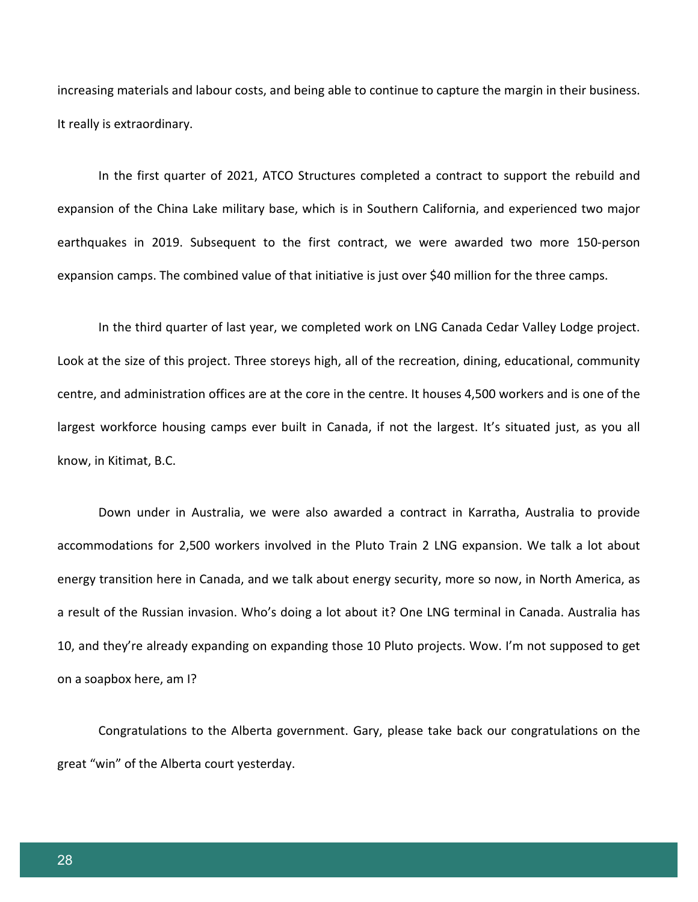increasing materials and labour costs, and being able to continue to capture the margin in their business. It really is extraordinary.

In the first quarter of 2021, ATCO Structures completed a contract to support the rebuild and expansion of the China Lake military base, which is in Southern California, and experienced two major earthquakes in 2019. Subsequent to the first contract, we were awarded two more 150-person expansion camps. The combined value of that initiative is just over \$40 million for the three camps.

In the third quarter of last year, we completed work on LNG Canada Cedar Valley Lodge project. Look at the size of this project. Three storeys high, all of the recreation, dining, educational, community centre, and administration offices are at the core in the centre. It houses 4,500 workers and is one of the largest workforce housing camps ever built in Canada, if not the largest. It's situated just, as you all know, in Kitimat, B.C.

Down under in Australia, we were also awarded a contract in Karratha, Australia to provide accommodations for 2,500 workers involved in the Pluto Train 2 LNG expansion. We talk a lot about energy transition here in Canada, and we talk about energy security, more so now, in North America, as a result of the Russian invasion. Who's doing a lot about it? One LNG terminal in Canada. Australia has 10, and they're already expanding on expanding those 10 Pluto projects. Wow. I'm not supposed to get on a soapbox here, am I?

Congratulations to the Alberta government. Gary, please take back our congratulations on the great "win" of the Alberta court yesterday.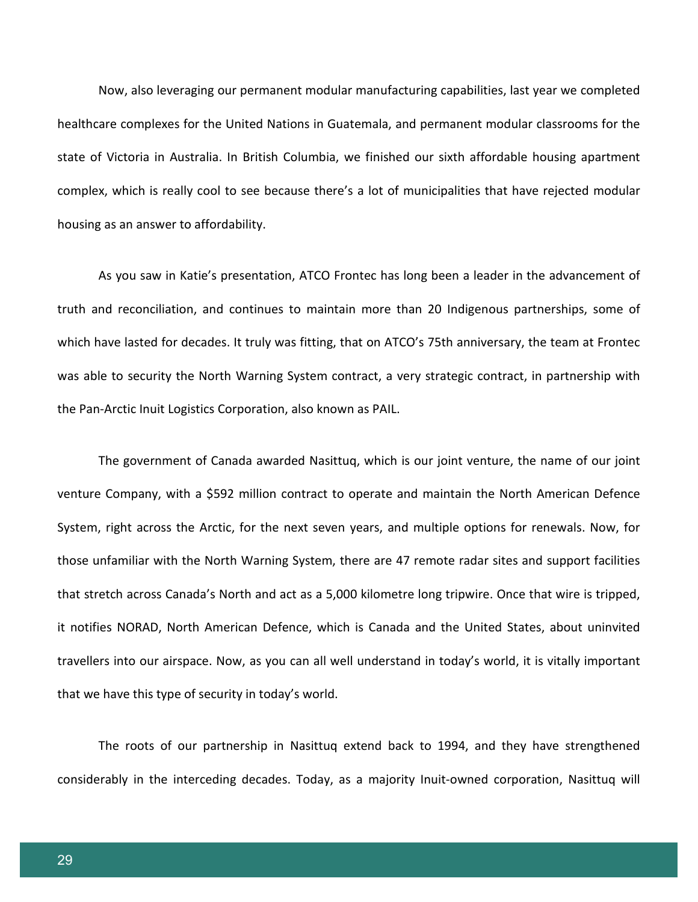Now, also leveraging our permanent modular manufacturing capabilities, last year we completed healthcare complexes for the United Nations in Guatemala, and permanent modular classrooms for the state of Victoria in Australia. In British Columbia, we finished our sixth affordable housing apartment complex, which is really cool to see because there's a lot of municipalities that have rejected modular housing as an answer to affordability.

As you saw in Katie's presentation, ATCO Frontec has long been a leader in the advancement of truth and reconciliation, and continues to maintain more than 20 Indigenous partnerships, some of which have lasted for decades. It truly was fitting, that on ATCO's 75th anniversary, the team at Frontec was able to security the North Warning System contract, a very strategic contract, in partnership with the Pan-Arctic Inuit Logistics Corporation, also known as PAIL.

The government of Canada awarded Nasittuq, which is our joint venture, the name of our joint venture Company, with a \$592 million contract to operate and maintain the North American Defence System, right across the Arctic, for the next seven years, and multiple options for renewals. Now, for those unfamiliar with the North Warning System, there are 47 remote radar sites and support facilities that stretch across Canada's North and act as a 5,000 kilometre long tripwire. Once that wire is tripped, it notifies NORAD, North American Defence, which is Canada and the United States, about uninvited travellers into our airspace. Now, as you can all well understand in today's world, it is vitally important that we have this type of security in today's world.

The roots of our partnership in Nasittuq extend back to 1994, and they have strengthened considerably in the interceding decades. Today, as a majority Inuit-owned corporation, Nasittuq will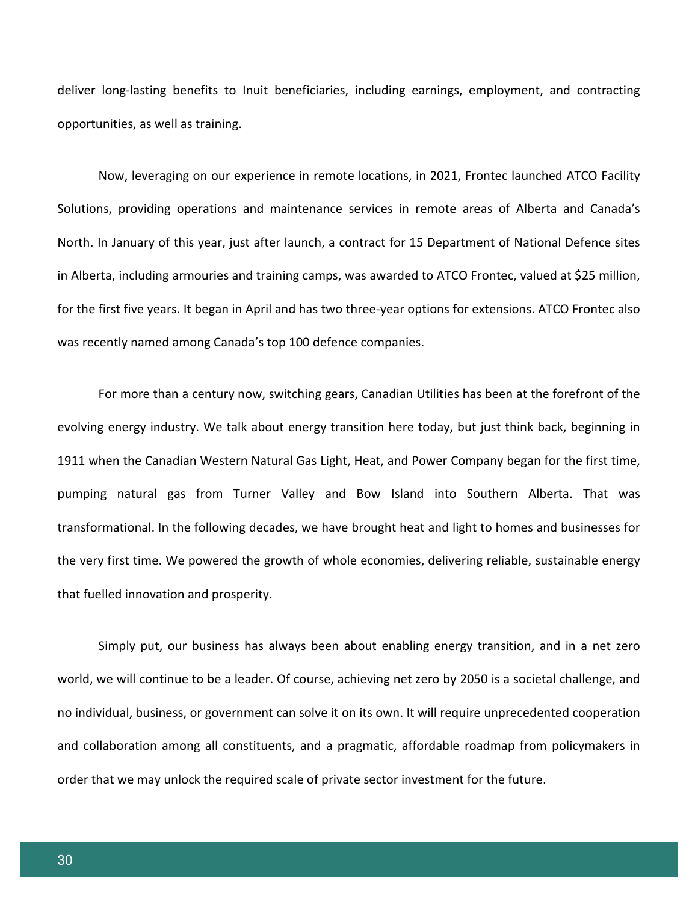deliver long-lasting benefits to Inuit beneficiaries, including earnings, employment, and contracting opportunities, as well as training.

Now, leveraging on our experience in remote locations, in 2021, Frontec launched ATCO Facility Solutions, providing operations and maintenance services in remote areas of Alberta and Canada's North. In January of this year, just after launch, a contract for 15 Department of National Defence sites in Alberta, including armouries and training camps, was awarded to ATCO Frontec, valued at \$25 million, for the first five years. It began in April and has two three-year options for extensions. ATCO Frontec also was recently named among Canada's top 100 defence companies.

For more than a century now, switching gears, Canadian Utilities has been at the forefront of the evolving energy industry. We talk about energy transition here today, but just think back, beginning in 1911 when the Canadian Western Natural Gas Light, Heat, and Power Company began for the first time, pumping natural gas from Turner Valley and Bow Island into Southern Alberta. That was transformational. In the following decades, we have brought heat and light to homes and businesses for the very first time. We powered the growth of whole economies, delivering reliable, sustainable energy that fuelled innovation and prosperity.

Simply put, our business has always been about enabling energy transition, and in a net zero world, we will continue to be a leader. Of course, achieving net zero by 2050 is a societal challenge, and no individual, business, or government can solve it on its own. It will require unprecedented cooperation and collaboration among all constituents, and a pragmatic, affordable roadmap from policymakers in order that we may unlock the required scale of private sector investment for the future.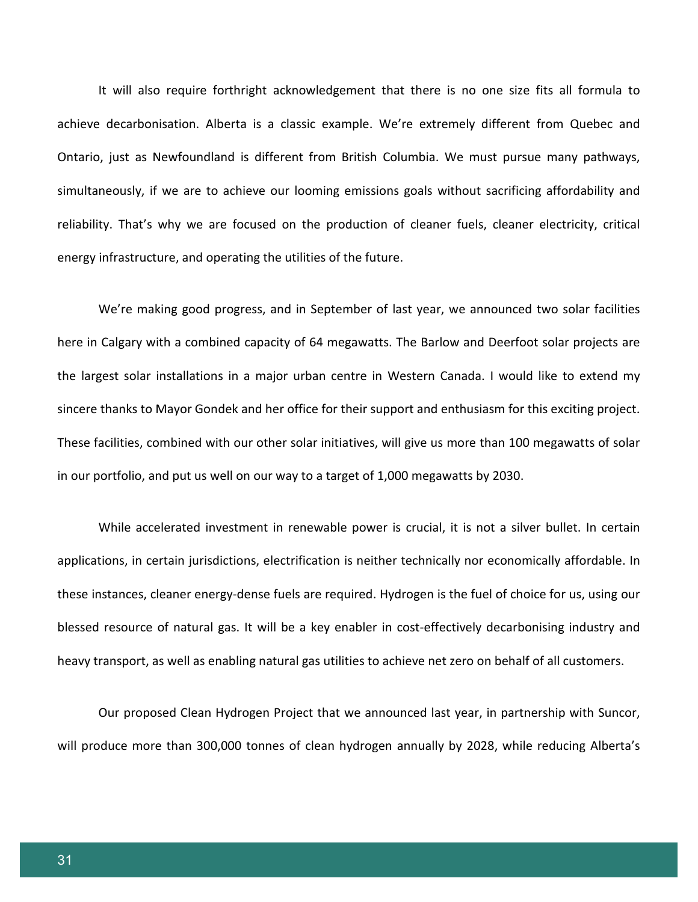It will also require forthright acknowledgement that there is no one size fits all formula to achieve decarbonisation. Alberta is a classic example. We're extremely different from Quebec and Ontario, just as Newfoundland is different from British Columbia. We must pursue many pathways, simultaneously, if we are to achieve our looming emissions goals without sacrificing affordability and reliability. That's why we are focused on the production of cleaner fuels, cleaner electricity, critical energy infrastructure, and operating the utilities of the future.

We're making good progress, and in September of last year, we announced two solar facilities here in Calgary with a combined capacity of 64 megawatts. The Barlow and Deerfoot solar projects are the largest solar installations in a major urban centre in Western Canada. I would like to extend my sincere thanks to Mayor Gondek and her office for their support and enthusiasm for this exciting project. These facilities, combined with our other solar initiatives, will give us more than 100 megawatts of solar in our portfolio, and put us well on our way to a target of 1,000 megawatts by 2030.

While accelerated investment in renewable power is crucial, it is not a silver bullet. In certain applications, in certain jurisdictions, electrification is neither technically nor economically affordable. In these instances, cleaner energy-dense fuels are required. Hydrogen is the fuel of choice for us, using our blessed resource of natural gas. It will be a key enabler in cost-effectively decarbonising industry and heavy transport, as well as enabling natural gas utilities to achieve net zero on behalf of all customers.

Our proposed Clean Hydrogen Project that we announced last year, in partnership with Suncor, will produce more than 300,000 tonnes of clean hydrogen annually by 2028, while reducing Alberta's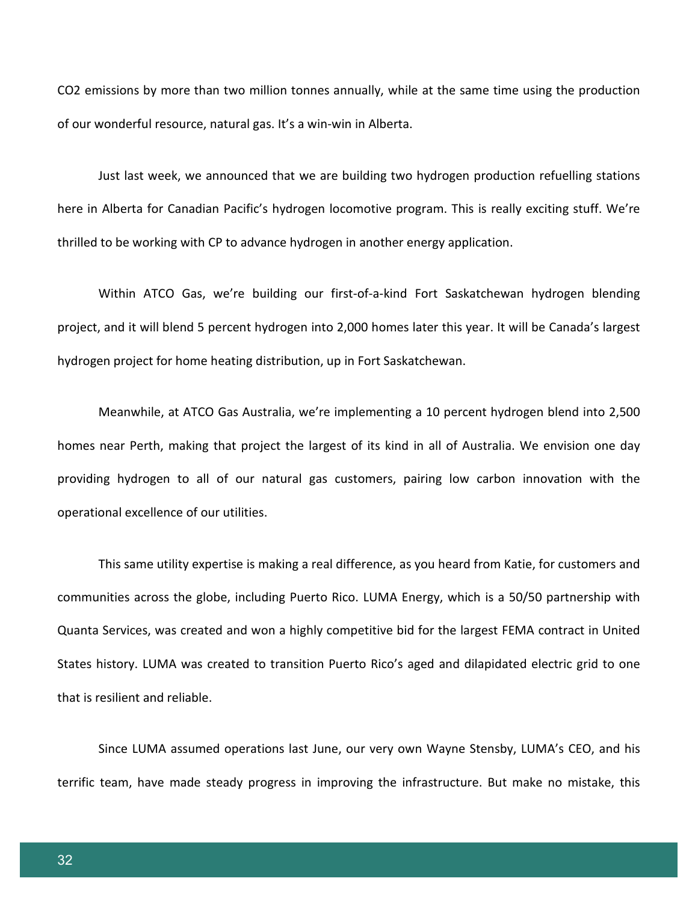CO2 emissions by more than two million tonnes annually, while at the same time using the production of our wonderful resource, natural gas. It's a win-win in Alberta.

Just last week, we announced that we are building two hydrogen production refuelling stations here in Alberta for Canadian Pacific's hydrogen locomotive program. This is really exciting stuff. We're thrilled to be working with CP to advance hydrogen in another energy application.

Within ATCO Gas, we're building our first-of-a-kind Fort Saskatchewan hydrogen blending project, and it will blend 5 percent hydrogen into 2,000 homes later this year. It will be Canada's largest hydrogen project for home heating distribution, up in Fort Saskatchewan.

Meanwhile, at ATCO Gas Australia, we're implementing a 10 percent hydrogen blend into 2,500 homes near Perth, making that project the largest of its kind in all of Australia. We envision one day providing hydrogen to all of our natural gas customers, pairing low carbon innovation with the operational excellence of our utilities.

This same utility expertise is making a real difference, as you heard from Katie, for customers and communities across the globe, including Puerto Rico. LUMA Energy, which is a 50/50 partnership with Quanta Services, was created and won a highly competitive bid for the largest FEMA contract in United States history. LUMA was created to transition Puerto Rico's aged and dilapidated electric grid to one that is resilient and reliable.

Since LUMA assumed operations last June, our very own Wayne Stensby, LUMA's CEO, and his terrific team, have made steady progress in improving the infrastructure. But make no mistake, this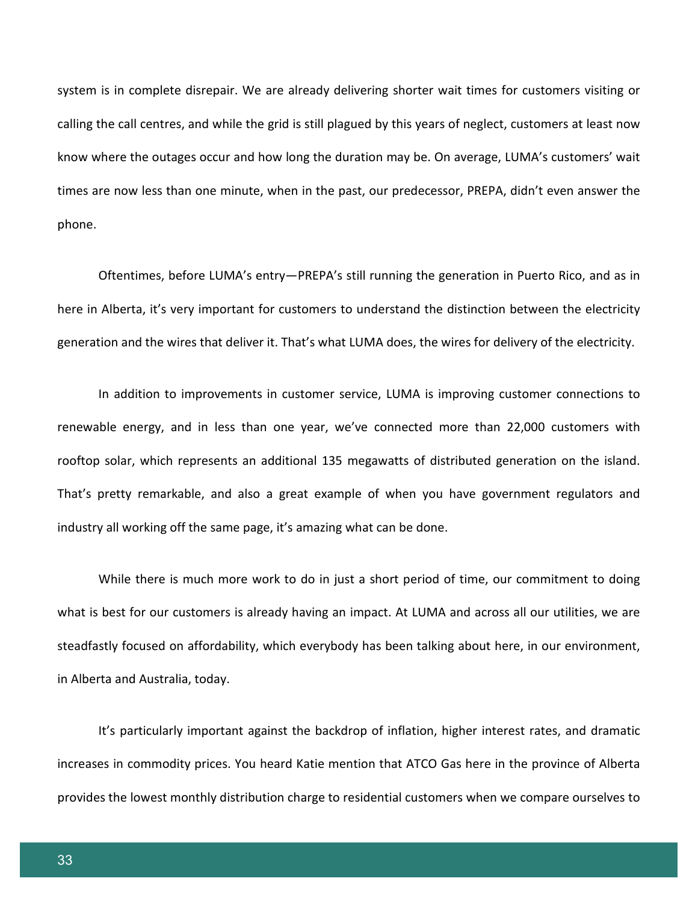system is in complete disrepair. We are already delivering shorter wait times for customers visiting or calling the call centres, and while the grid is still plagued by this years of neglect, customers at least now know where the outages occur and how long the duration may be. On average, LUMA's customers' wait times are now less than one minute, when in the past, our predecessor, PREPA, didn't even answer the phone.

Oftentimes, before LUMA's entry—PREPA's still running the generation in Puerto Rico, and as in here in Alberta, it's very important for customers to understand the distinction between the electricity generation and the wires that deliver it. That's what LUMA does, the wires for delivery of the electricity.

In addition to improvements in customer service, LUMA is improving customer connections to renewable energy, and in less than one year, we've connected more than 22,000 customers with rooftop solar, which represents an additional 135 megawatts of distributed generation on the island. That's pretty remarkable, and also a great example of when you have government regulators and industry all working off the same page, it's amazing what can be done.

While there is much more work to do in just a short period of time, our commitment to doing what is best for our customers is already having an impact. At LUMA and across all our utilities, we are steadfastly focused on affordability, which everybody has been talking about here, in our environment, in Alberta and Australia, today.

It's particularly important against the backdrop of inflation, higher interest rates, and dramatic increases in commodity prices. You heard Katie mention that ATCO Gas here in the province of Alberta provides the lowest monthly distribution charge to residential customers when we compare ourselves to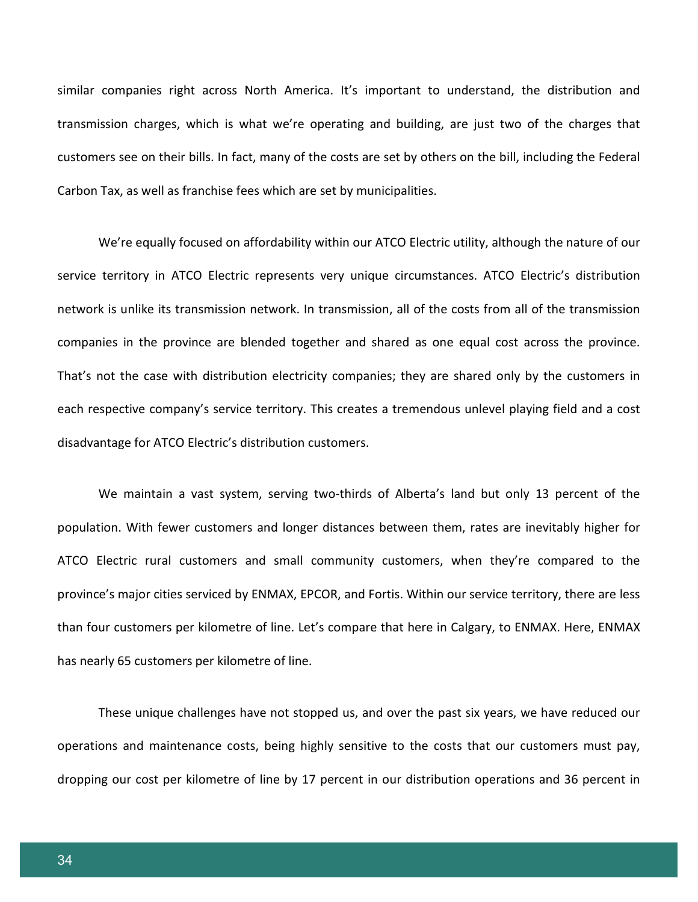similar companies right across North America. It's important to understand, the distribution and transmission charges, which is what we're operating and building, are just two of the charges that customers see on their bills. In fact, many of the costs are set by others on the bill, including the Federal Carbon Tax, as well as franchise fees which are set by municipalities.

We're equally focused on affordability within our ATCO Electric utility, although the nature of our service territory in ATCO Electric represents very unique circumstances. ATCO Electric's distribution network is unlike its transmission network. In transmission, all of the costs from all of the transmission companies in the province are blended together and shared as one equal cost across the province. That's not the case with distribution electricity companies; they are shared only by the customers in each respective company's service territory. This creates a tremendous unlevel playing field and a cost disadvantage for ATCO Electric's distribution customers.

We maintain a vast system, serving two-thirds of Alberta's land but only 13 percent of the population. With fewer customers and longer distances between them, rates are inevitably higher for ATCO Electric rural customers and small community customers, when they're compared to the province's major cities serviced by ENMAX, EPCOR, and Fortis. Within our service territory, there are less than four customers per kilometre of line. Let's compare that here in Calgary, to ENMAX. Here, ENMAX has nearly 65 customers per kilometre of line.

These unique challenges have not stopped us, and over the past six years, we have reduced our operations and maintenance costs, being highly sensitive to the costs that our customers must pay, dropping our cost per kilometre of line by 17 percent in our distribution operations and 36 percent in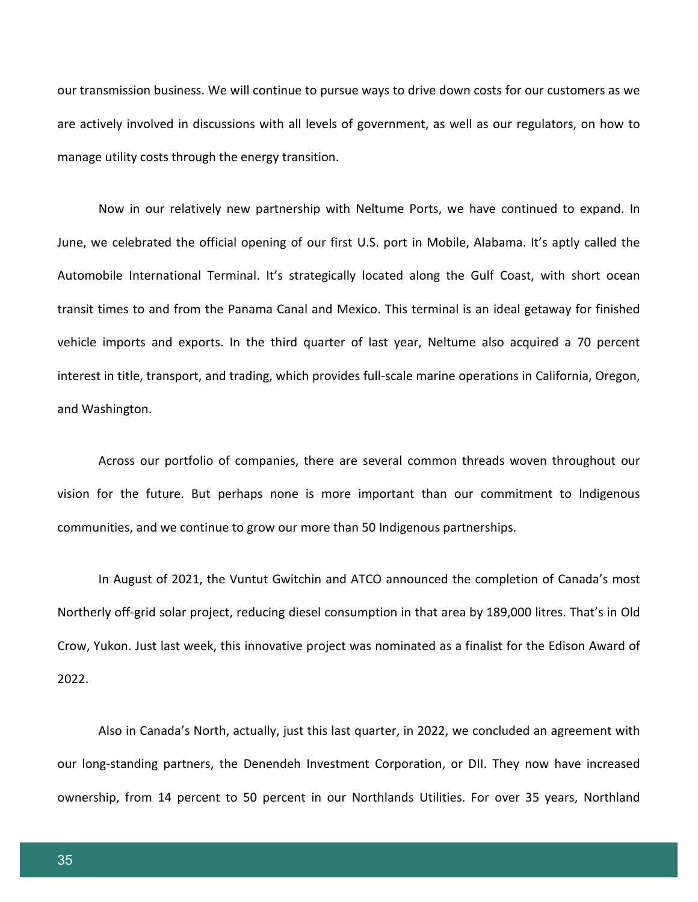our transmission business. We will continue to pursue ways to drive down costs for our customers as we are actively involved in discussions with all levels of government, as well as our regulators, on how to manage utility costs through the energy transition.

Now in our relatively new partnership with Neltume Ports, we have continued to expand. In June, we celebrated the official opening of our first U.S. port in Mobile, Alabama. It's aptly called the Automobile International Terminal. It's strategically located along the Gulf Coast, with short ocean transit times to and from the Panama Canal and Mexico. This terminal is an ideal getaway for finished vehicle imports and exports. In the third quarter of last year, Neltume also acquired a 70 percent interest in title, transport, and trading, which provides full-scale marine operations in California, Oregon, and Washington.

Across our portfolio of companies, there are several common threads woven throughout our vision for the future. But perhaps none is more important than our commitment to Indigenous communities, and we continue to grow our more than 50 Indigenous partnerships.

In August of 2021, the Vuntut Gwitchin and ATCO announced the completion of Canada's most Northerly off-grid solar project, reducing diesel consumption in that area by 189,000 litres. That's in Old Crow, Yukon. Just last week, this innovative project was nominated as a finalist for the Edison Award of 2022.

Also in Canada's North, actually, just this last quarter, in 2022, we concluded an agreement with our long-standing partners, the Denendeh Investment Corporation, or DII. They now have increased ownership, from 14 percent to 50 percent in our Northlands Utilities. For over 35 years, Northland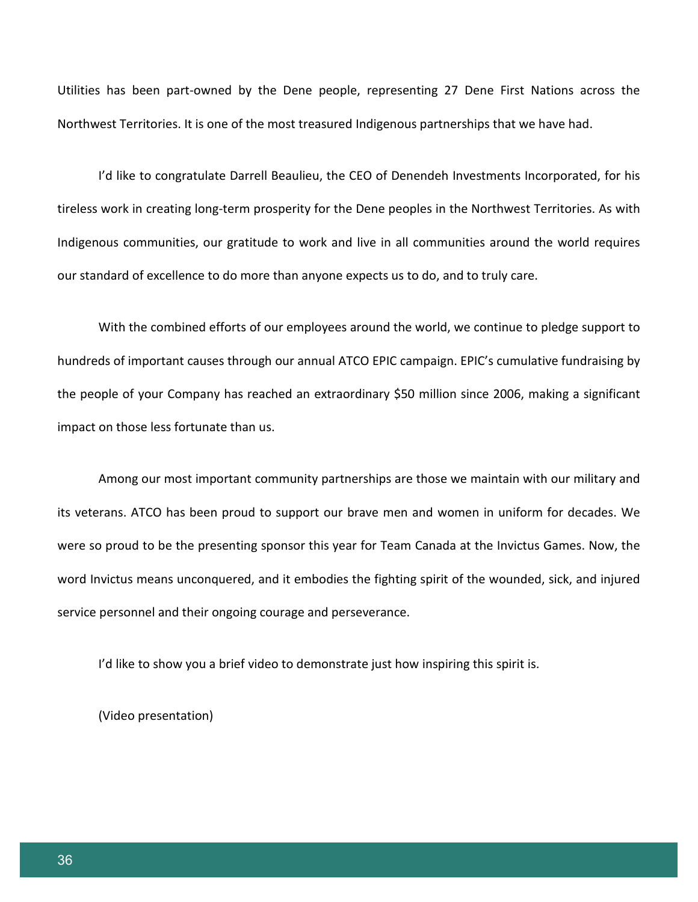Utilities has been part-owned by the Dene people, representing 27 Dene First Nations across the Northwest Territories. It is one of the most treasured Indigenous partnerships that we have had.

I'd like to congratulate Darrell Beaulieu, the CEO of Denendeh Investments Incorporated, for his tireless work in creating long-term prosperity for the Dene peoples in the Northwest Territories. As with Indigenous communities, our gratitude to work and live in all communities around the world requires our standard of excellence to do more than anyone expects us to do, and to truly care.

With the combined efforts of our employees around the world, we continue to pledge support to hundreds of important causes through our annual ATCO EPIC campaign. EPIC's cumulative fundraising by the people of your Company has reached an extraordinary \$50 million since 2006, making a significant impact on those less fortunate than us.

Among our most important community partnerships are those we maintain with our military and its veterans. ATCO has been proud to support our brave men and women in uniform for decades. We were so proud to be the presenting sponsor this year for Team Canada at the Invictus Games. Now, the word Invictus means unconquered, and it embodies the fighting spirit of the wounded, sick, and injured service personnel and their ongoing courage and perseverance.

I'd like to show you a brief video to demonstrate just how inspiring this spirit is.

(Video presentation)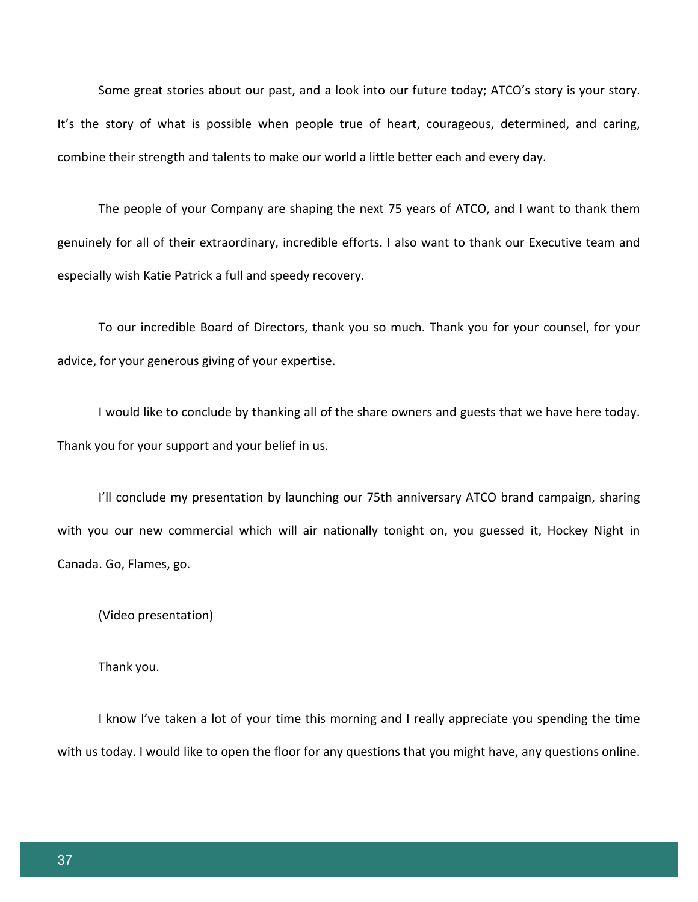Some great stories about our past, and a look into our future today; ATCO's story is your story. It's the story of what is possible when people true of heart, courageous, determined, and caring, combine their strength and talents to make our world a little better each and every day.

The people of your Company are shaping the next 75 years of ATCO, and I want to thank them genuinely for all of their extraordinary, incredible efforts. I also want to thank our Executive team and especially wish Katie Patrick a full and speedy recovery.

To our incredible Board of Directors, thank you so much. Thank you for your counsel, for your advice, for your generous giving of your expertise.

I would like to conclude by thanking all of the share owners and guests that we have here today. Thank you for your support and your belief in us.

I'll conclude my presentation by launching our 75th anniversary ATCO brand campaign, sharing with you our new commercial which will air nationally tonight on, you guessed it, Hockey Night in Canada. Go, Flames, go.

(Video presentation)

Thank you.

I know I've taken a lot of your time this morning and I really appreciate you spending the time with us today. I would like to open the floor for any questions that you might have, any questions online.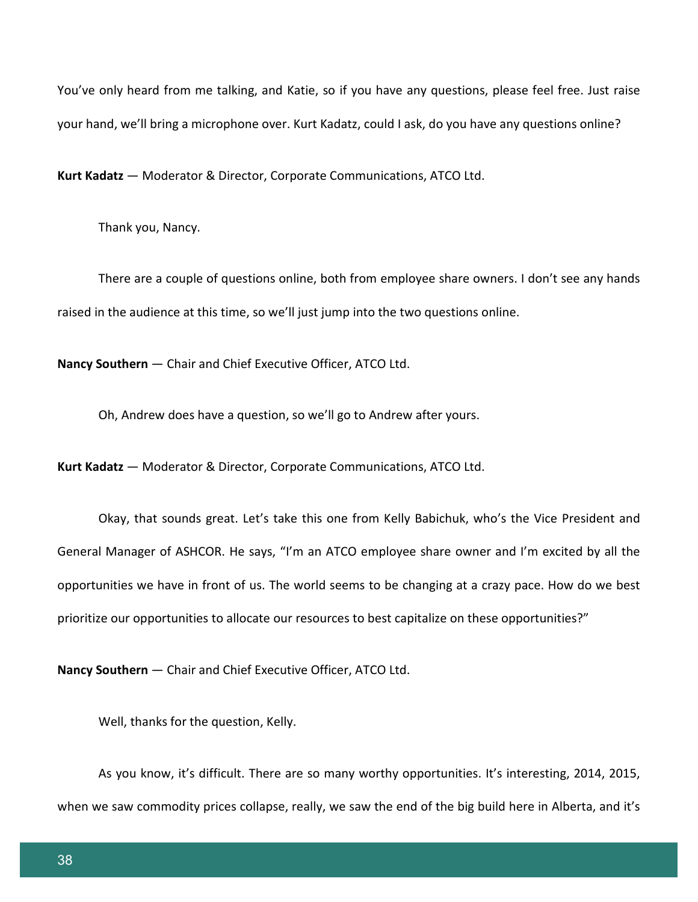You've only heard from me talking, and Katie, so if you have any questions, please feel free. Just raise your hand, we'll bring a microphone over. Kurt Kadatz, could I ask, do you have any questions online?

**Kurt Kadatz** — Moderator & Director, Corporate Communications, ATCO Ltd.

Thank you, Nancy.

There are a couple of questions online, both from employee share owners. I don't see any hands raised in the audience at this time, so we'll just jump into the two questions online.

**Nancy Southern** — Chair and Chief Executive Officer, ATCO Ltd.

Oh, Andrew does have a question, so we'll go to Andrew after yours.

**Kurt Kadatz** — Moderator & Director, Corporate Communications, ATCO Ltd.

Okay, that sounds great. Let's take this one from Kelly Babichuk, who's the Vice President and General Manager of ASHCOR. He says, "I'm an ATCO employee share owner and I'm excited by all the opportunities we have in front of us. The world seems to be changing at a crazy pace. How do we best prioritize our opportunities to allocate our resources to best capitalize on these opportunities?"

**Nancy Southern** — Chair and Chief Executive Officer, ATCO Ltd.

Well, thanks for the question, Kelly.

As you know, it's difficult. There are so many worthy opportunities. It's interesting, 2014, 2015, when we saw commodity prices collapse, really, we saw the end of the big build here in Alberta, and it's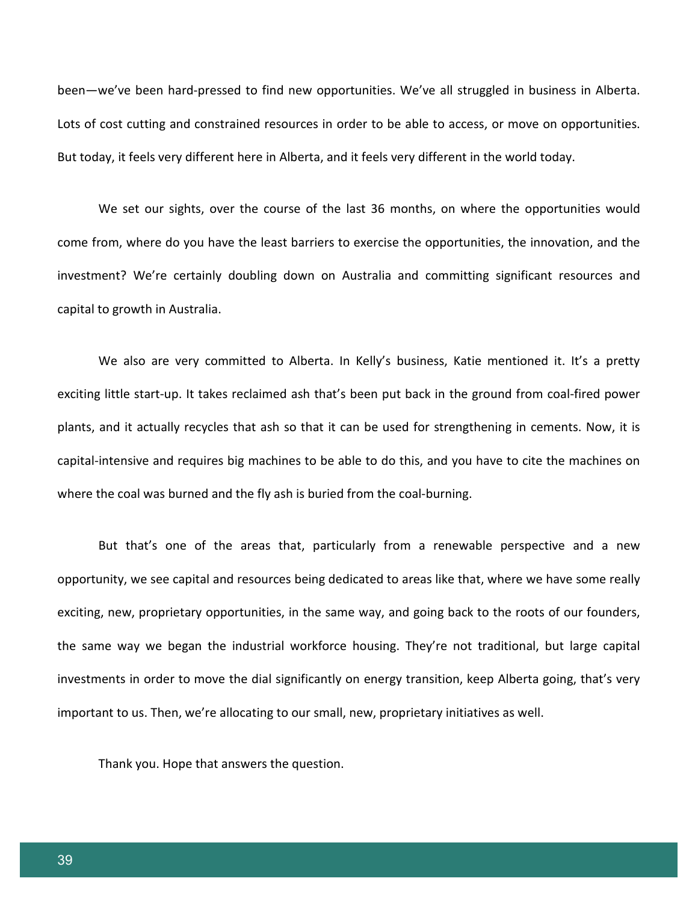been—we've been hard-pressed to find new opportunities. We've all struggled in business in Alberta. Lots of cost cutting and constrained resources in order to be able to access, or move on opportunities. But today, it feels very different here in Alberta, and it feels very different in the world today.

We set our sights, over the course of the last 36 months, on where the opportunities would come from, where do you have the least barriers to exercise the opportunities, the innovation, and the investment? We're certainly doubling down on Australia and committing significant resources and capital to growth in Australia.

We also are very committed to Alberta. In Kelly's business, Katie mentioned it. It's a pretty exciting little start-up. It takes reclaimed ash that's been put back in the ground from coal-fired power plants, and it actually recycles that ash so that it can be used for strengthening in cements. Now, it is capital-intensive and requires big machines to be able to do this, and you have to cite the machines on where the coal was burned and the fly ash is buried from the coal-burning.

But that's one of the areas that, particularly from a renewable perspective and a new opportunity, we see capital and resources being dedicated to areas like that, where we have some really exciting, new, proprietary opportunities, in the same way, and going back to the roots of our founders, the same way we began the industrial workforce housing. They're not traditional, but large capital investments in order to move the dial significantly on energy transition, keep Alberta going, that's very important to us. Then, we're allocating to our small, new, proprietary initiatives as well.

Thank you. Hope that answers the question.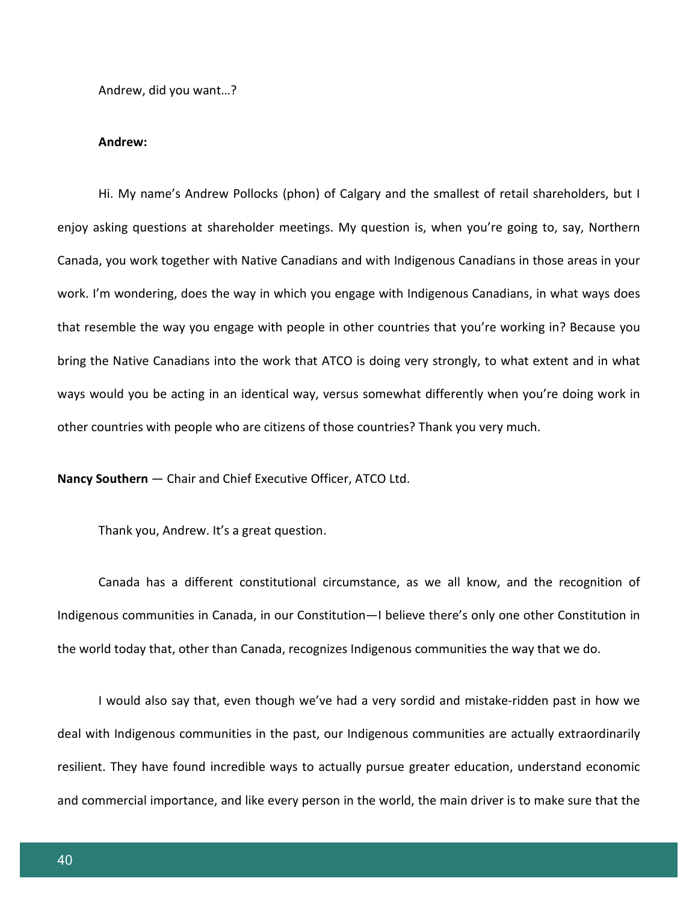Andrew, did you want…?

#### **Andrew:**

Hi. My name's Andrew Pollocks (phon) of Calgary and the smallest of retail shareholders, but I enjoy asking questions at shareholder meetings. My question is, when you're going to, say, Northern Canada, you work together with Native Canadians and with Indigenous Canadians in those areas in your work. I'm wondering, does the way in which you engage with Indigenous Canadians, in what ways does that resemble the way you engage with people in other countries that you're working in? Because you bring the Native Canadians into the work that ATCO is doing very strongly, to what extent and in what ways would you be acting in an identical way, versus somewhat differently when you're doing work in other countries with people who are citizens of those countries? Thank you very much.

**Nancy Southern** — Chair and Chief Executive Officer, ATCO Ltd.

Thank you, Andrew. It's a great question.

Canada has a different constitutional circumstance, as we all know, and the recognition of Indigenous communities in Canada, in our Constitution—I believe there's only one other Constitution in the world today that, other than Canada, recognizes Indigenous communities the way that we do.

I would also say that, even though we've had a very sordid and mistake-ridden past in how we deal with Indigenous communities in the past, our Indigenous communities are actually extraordinarily resilient. They have found incredible ways to actually pursue greater education, understand economic and commercial importance, and like every person in the world, the main driver is to make sure that the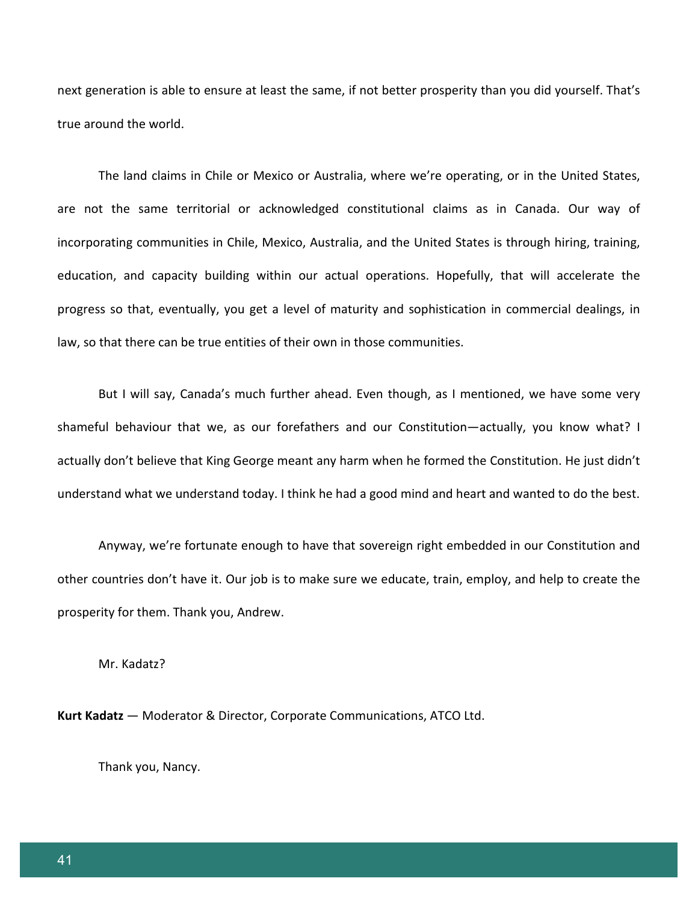next generation is able to ensure at least the same, if not better prosperity than you did yourself. That's true around the world.

The land claims in Chile or Mexico or Australia, where we're operating, or in the United States, are not the same territorial or acknowledged constitutional claims as in Canada. Our way of incorporating communities in Chile, Mexico, Australia, and the United States is through hiring, training, education, and capacity building within our actual operations. Hopefully, that will accelerate the progress so that, eventually, you get a level of maturity and sophistication in commercial dealings, in law, so that there can be true entities of their own in those communities.

But I will say, Canada's much further ahead. Even though, as I mentioned, we have some very shameful behaviour that we, as our forefathers and our Constitution—actually, you know what? I actually don't believe that King George meant any harm when he formed the Constitution. He just didn't understand what we understand today. I think he had a good mind and heart and wanted to do the best.

Anyway, we're fortunate enough to have that sovereign right embedded in our Constitution and other countries don't have it. Our job is to make sure we educate, train, employ, and help to create the prosperity for them. Thank you, Andrew.

Mr. Kadatz?

**Kurt Kadatz** — Moderator & Director, Corporate Communications, ATCO Ltd.

Thank you, Nancy.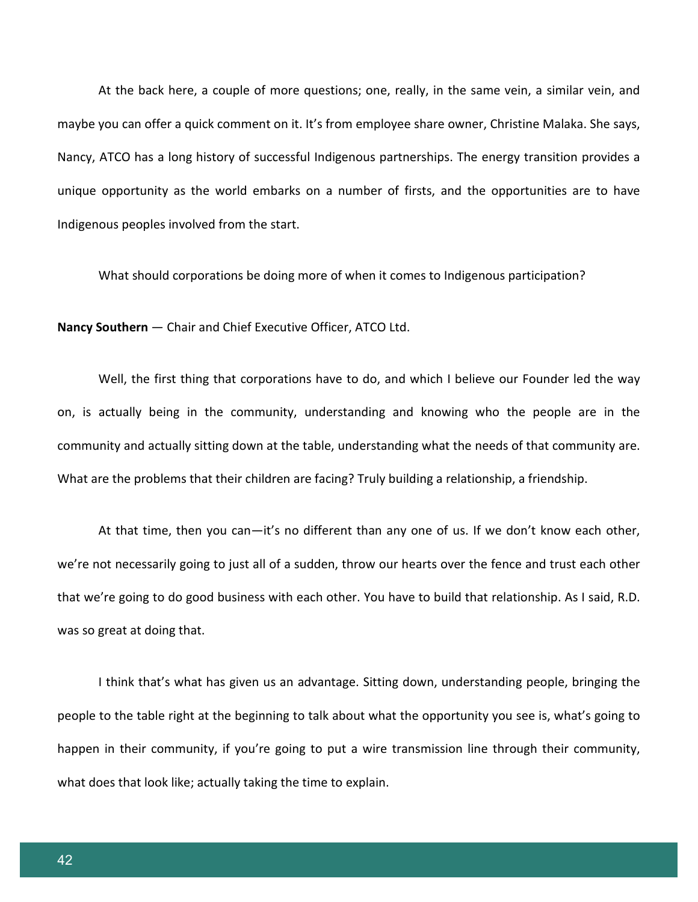At the back here, a couple of more questions; one, really, in the same vein, a similar vein, and maybe you can offer a quick comment on it. It's from employee share owner, Christine Malaka. She says, Nancy, ATCO has a long history of successful Indigenous partnerships. The energy transition provides a unique opportunity as the world embarks on a number of firsts, and the opportunities are to have Indigenous peoples involved from the start.

What should corporations be doing more of when it comes to Indigenous participation?

**Nancy Southern** — Chair and Chief Executive Officer, ATCO Ltd.

Well, the first thing that corporations have to do, and which I believe our Founder led the way on, is actually being in the community, understanding and knowing who the people are in the community and actually sitting down at the table, understanding what the needs of that community are. What are the problems that their children are facing? Truly building a relationship, a friendship.

At that time, then you can—it's no different than any one of us. If we don't know each other, we're not necessarily going to just all of a sudden, throw our hearts over the fence and trust each other that we're going to do good business with each other. You have to build that relationship. As I said, R.D. was so great at doing that.

I think that's what has given us an advantage. Sitting down, understanding people, bringing the people to the table right at the beginning to talk about what the opportunity you see is, what's going to happen in their community, if you're going to put a wire transmission line through their community, what does that look like; actually taking the time to explain.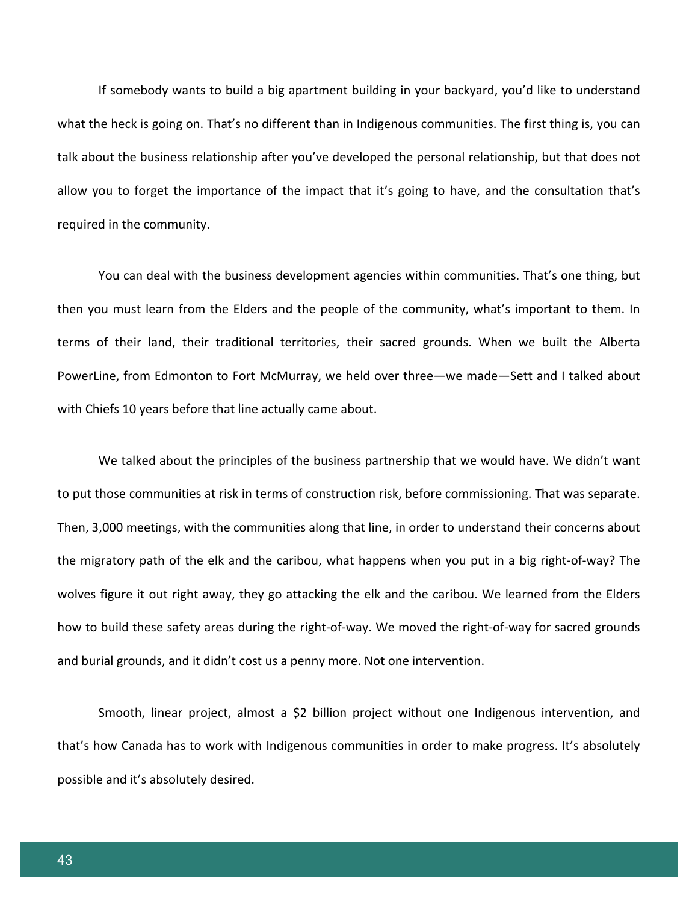If somebody wants to build a big apartment building in your backyard, you'd like to understand what the heck is going on. That's no different than in Indigenous communities. The first thing is, you can talk about the business relationship after you've developed the personal relationship, but that does not allow you to forget the importance of the impact that it's going to have, and the consultation that's required in the community.

You can deal with the business development agencies within communities. That's one thing, but then you must learn from the Elders and the people of the community, what's important to them. In terms of their land, their traditional territories, their sacred grounds. When we built the Alberta PowerLine, from Edmonton to Fort McMurray, we held over three—we made—Sett and I talked about with Chiefs 10 years before that line actually came about.

We talked about the principles of the business partnership that we would have. We didn't want to put those communities at risk in terms of construction risk, before commissioning. That was separate. Then, 3,000 meetings, with the communities along that line, in order to understand their concerns about the migratory path of the elk and the caribou, what happens when you put in a big right-of-way? The wolves figure it out right away, they go attacking the elk and the caribou. We learned from the Elders how to build these safety areas during the right-of-way. We moved the right-of-way for sacred grounds and burial grounds, and it didn't cost us a penny more. Not one intervention.

Smooth, linear project, almost a \$2 billion project without one Indigenous intervention, and that's how Canada has to work with Indigenous communities in order to make progress. It's absolutely possible and it's absolutely desired.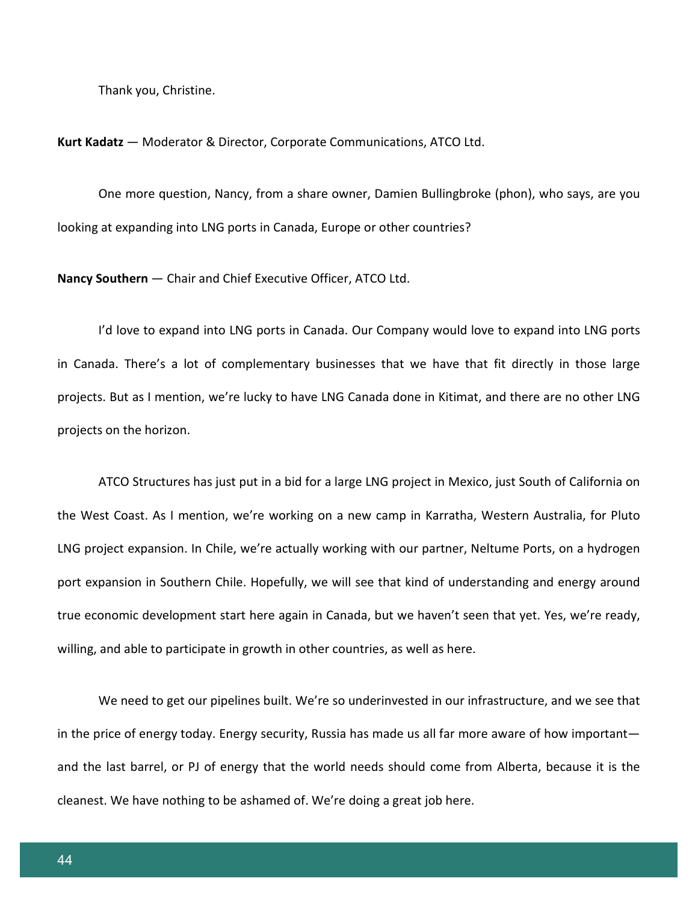Thank you, Christine.

**Kurt Kadatz** — Moderator & Director, Corporate Communications, ATCO Ltd.

One more question, Nancy, from a share owner, Damien Bullingbroke (phon), who says, are you looking at expanding into LNG ports in Canada, Europe or other countries?

**Nancy Southern** — Chair and Chief Executive Officer, ATCO Ltd.

I'd love to expand into LNG ports in Canada. Our Company would love to expand into LNG ports in Canada. There's a lot of complementary businesses that we have that fit directly in those large projects. But as I mention, we're lucky to have LNG Canada done in Kitimat, and there are no other LNG projects on the horizon.

ATCO Structures has just put in a bid for a large LNG project in Mexico, just South of California on the West Coast. As I mention, we're working on a new camp in Karratha, Western Australia, for Pluto LNG project expansion. In Chile, we're actually working with our partner, Neltume Ports, on a hydrogen port expansion in Southern Chile. Hopefully, we will see that kind of understanding and energy around true economic development start here again in Canada, but we haven't seen that yet. Yes, we're ready, willing, and able to participate in growth in other countries, as well as here.

We need to get our pipelines built. We're so underinvested in our infrastructure, and we see that in the price of energy today. Energy security, Russia has made us all far more aware of how important and the last barrel, or PJ of energy that the world needs should come from Alberta, because it is the cleanest. We have nothing to be ashamed of. We're doing a great job here.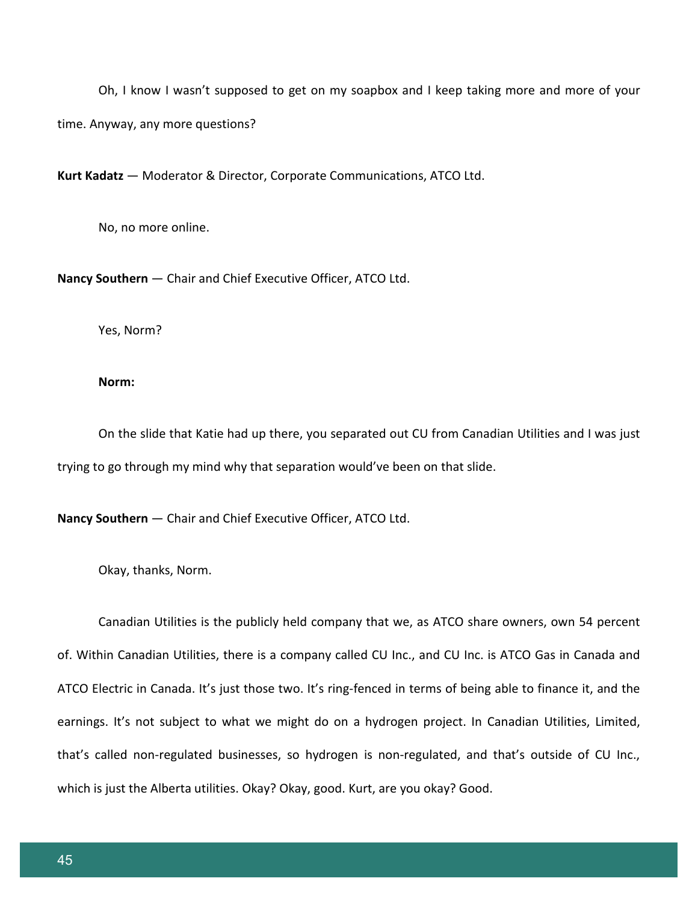Oh, I know I wasn't supposed to get on my soapbox and I keep taking more and more of your time. Anyway, any more questions?

**Kurt Kadatz** — Moderator & Director, Corporate Communications, ATCO Ltd.

No, no more online.

**Nancy Southern** — Chair and Chief Executive Officer, ATCO Ltd.

Yes, Norm?

### **Norm:**

On the slide that Katie had up there, you separated out CU from Canadian Utilities and I was just trying to go through my mind why that separation would've been on that slide.

**Nancy Southern** — Chair and Chief Executive Officer, ATCO Ltd.

Okay, thanks, Norm.

Canadian Utilities is the publicly held company that we, as ATCO share owners, own 54 percent of. Within Canadian Utilities, there is a company called CU Inc., and CU Inc. is ATCO Gas in Canada and ATCO Electric in Canada. It's just those two. It's ring-fenced in terms of being able to finance it, and the earnings. It's not subject to what we might do on a hydrogen project. In Canadian Utilities, Limited, that's called non-regulated businesses, so hydrogen is non-regulated, and that's outside of CU Inc., which is just the Alberta utilities. Okay? Okay, good. Kurt, are you okay? Good.